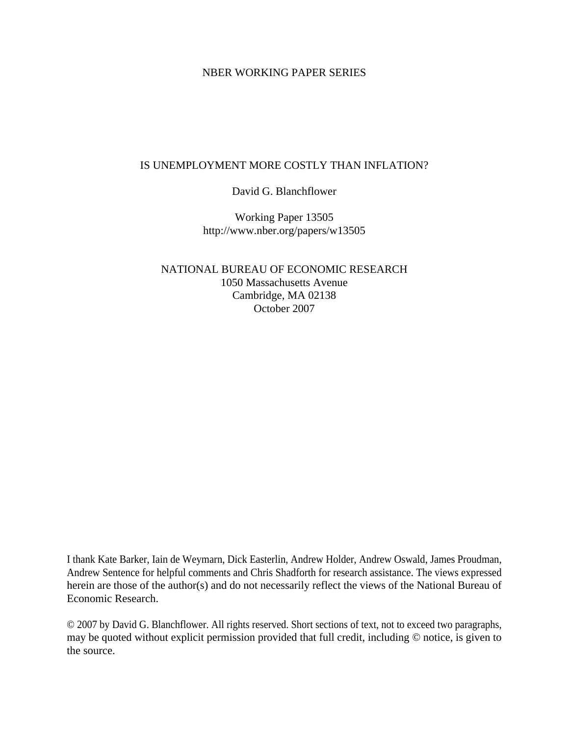### NBER WORKING PAPER SERIES

### IS UNEMPLOYMENT MORE COSTLY THAN INFLATION?

## David G. Blanchflower

Working Paper 13505 http://www.nber.org/papers/w13505

NATIONAL BUREAU OF ECONOMIC RESEARCH 1050 Massachusetts Avenue Cambridge, MA 02138 October 2007

I thank Kate Barker, Iain de Weymarn, Dick Easterlin, Andrew Holder, Andrew Oswald, James Proudman, Andrew Sentence for helpful comments and Chris Shadforth for research assistance. The views expressed herein are those of the author(s) and do not necessarily reflect the views of the National Bureau of Economic Research.

© 2007 by David G. Blanchflower. All rights reserved. Short sections of text, not to exceed two paragraphs, may be quoted without explicit permission provided that full credit, including © notice, is given to the source.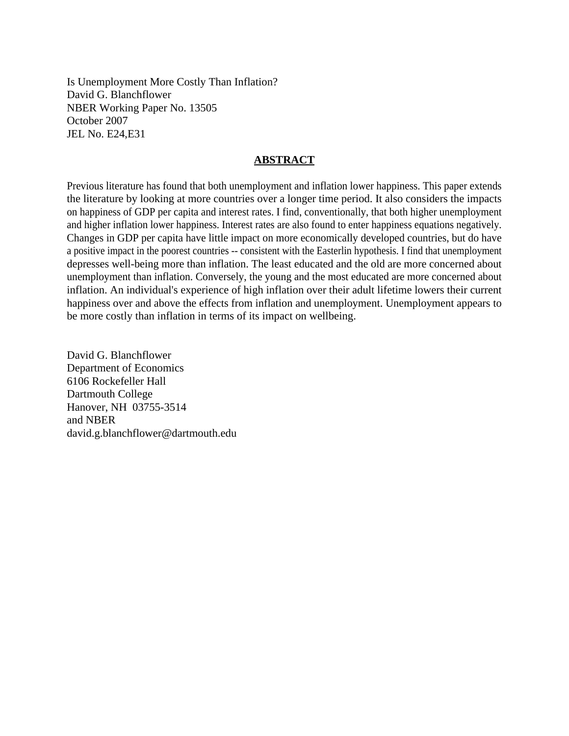Is Unemployment More Costly Than Inflation? David G. Blanchflower NBER Working Paper No. 13505 October 2007 JEL No. E24,E31

### **ABSTRACT**

Previous literature has found that both unemployment and inflation lower happiness. This paper extends the literature by looking at more countries over a longer time period. It also considers the impacts on happiness of GDP per capita and interest rates. I find, conventionally, that both higher unemployment and higher inflation lower happiness. Interest rates are also found to enter happiness equations negatively. Changes in GDP per capita have little impact on more economically developed countries, but do have a positive impact in the poorest countries -- consistent with the Easterlin hypothesis. I find that unemployment depresses well-being more than inflation. The least educated and the old are more concerned about unemployment than inflation. Conversely, the young and the most educated are more concerned about inflation. An individual's experience of high inflation over their adult lifetime lowers their current happiness over and above the effects from inflation and unemployment. Unemployment appears to be more costly than inflation in terms of its impact on wellbeing.

David G. Blanchflower Department of Economics 6106 Rockefeller Hall Dartmouth College Hanover, NH 03755-3514 and NBER david.g.blanchflower@dartmouth.edu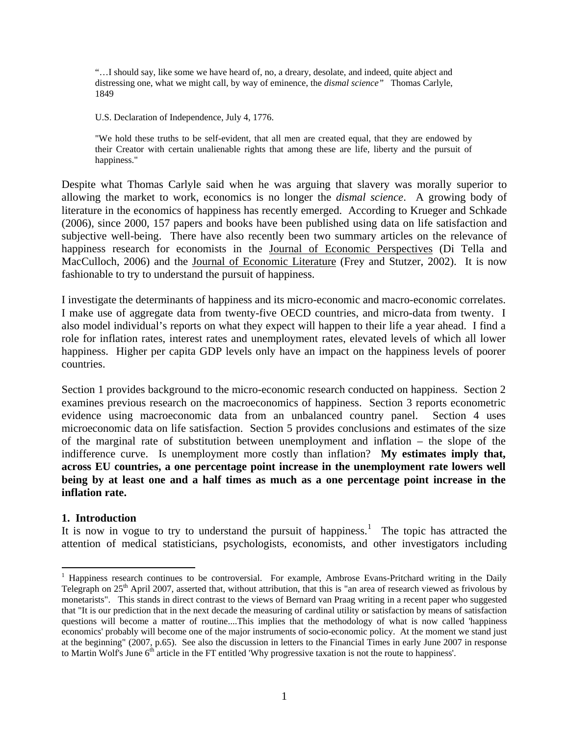"…I should say, like some we have heard of, no, a dreary, desolate, and indeed, quite abject and distressing one, what we might call, by way of eminence, the *dismal science"* Thomas Carlyle, 1849

U.S. Declaration of Independence, July 4, 1776.

"We hold these truths to be self-evident, that all men are created equal, that they are endowed by their Creator with certain unalienable rights that among these are life, liberty and the pursuit of happiness."

Despite what Thomas Carlyle said when he was arguing that slavery was morally superior to allowing the market to work, economics is no longer the *dismal science*. A growing body of literature in the economics of happiness has recently emerged. According to Krueger and Schkade (2006), since 2000, 157 papers and books have been published using data on life satisfaction and subjective well-being. There have also recently been two summary articles on the relevance of happiness research for economists in the Journal of Economic Perspectives (Di Tella and MacCulloch, 2006) and the Journal of Economic Literature (Frey and Stutzer, 2002). It is now fashionable to try to understand the pursuit of happiness.

I investigate the determinants of happiness and its micro-economic and macro-economic correlates. I make use of aggregate data from twenty-five OECD countries, and micro-data from twenty. I also model individual's reports on what they expect will happen to their life a year ahead. I find a role for inflation rates, interest rates and unemployment rates, elevated levels of which all lower happiness. Higher per capita GDP levels only have an impact on the happiness levels of poorer countries.

Section 1 provides background to the micro-economic research conducted on happiness. Section 2 examines previous research on the macroeconomics of happiness. Section 3 reports econometric evidence using macroeconomic data from an unbalanced country panel. Section 4 uses microeconomic data on life satisfaction. Section 5 provides conclusions and estimates of the size of the marginal rate of substitution between unemployment and inflation – the slope of the indifference curve. Is unemployment more costly than inflation? **My estimates imply that, across EU countries, a one percentage point increase in the unemployment rate lowers well being by at least one and a half times as much as a one percentage point increase in the inflation rate.** 

#### **1. Introduction**

1

It is now in vogue to try to understand the pursuit of happiness.<sup>[1](#page-2-0)</sup> The topic has attracted the attention of medical statisticians, psychologists, economists, and other investigators including

<span id="page-2-0"></span><sup>&</sup>lt;sup>1</sup> Happiness research continues to be controversial. For example, Ambrose Evans-Pritchard writing in the Daily Telegraph on  $25<sup>th</sup>$  April 2007, asserted that, without attribution, that this is "an area of research viewed as frivolous by monetarists". This stands in direct contrast to the views of Bernard van Praag writing in a recent paper who suggested that "It is our prediction that in the next decade the measuring of cardinal utility or satisfaction by means of satisfaction questions will become a matter of routine....This implies that the methodology of what is now called 'happiness economics' probably will become one of the major instruments of socio-economic policy. At the moment we stand just at the beginning" (2007, p.65). See also the discussion in letters to the Financial Times in early June 2007 in response to Martin Wolf's June 6<sup>th</sup> article in the FT entitled 'Why progressive taxation is not the route to happiness'.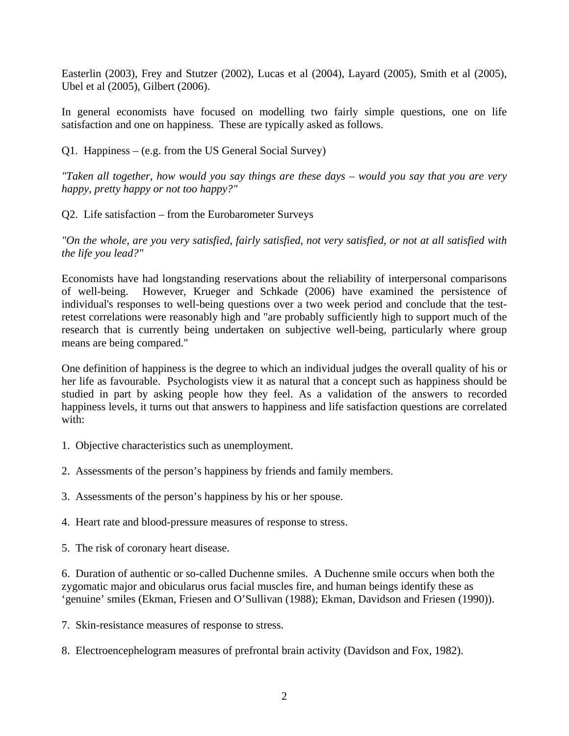Easterlin (2003), Frey and Stutzer (2002), Lucas et al (2004), Layard (2005), Smith et al (2005), Ubel et al (2005), Gilbert (2006).

In general economists have focused on modelling two fairly simple questions, one on life satisfaction and one on happiness. These are typically asked as follows.

Q1. Happiness – (e.g. from the US General Social Survey)

*"Taken all together, how would you say things are these days – would you say that you are very happy, pretty happy or not too happy?"* 

Q2. Life satisfaction – from the Eurobarometer Surveys

*"On the whole, are you very satisfied, fairly satisfied, not very satisfied, or not at all satisfied with the life you lead?"* 

Economists have had longstanding reservations about the reliability of interpersonal comparisons of well-being. However, Krueger and Schkade (2006) have examined the persistence of individual's responses to well-being questions over a two week period and conclude that the testretest correlations were reasonably high and "are probably sufficiently high to support much of the research that is currently being undertaken on subjective well-being, particularly where group means are being compared."

One definition of happiness is the degree to which an individual judges the overall quality of his or her life as favourable. Psychologists view it as natural that a concept such as happiness should be studied in part by asking people how they feel. As a validation of the answers to recorded happiness levels, it turns out that answers to happiness and life satisfaction questions are correlated with:

- 1. Objective characteristics such as unemployment.
- 2. Assessments of the person's happiness by friends and family members.
- 3. Assessments of the person's happiness by his or her spouse.
- 4. Heart rate and blood-pressure measures of response to stress.
- 5. The risk of coronary heart disease.

6. Duration of authentic or so-called Duchenne smiles. A Duchenne smile occurs when both the zygomatic major and obicularus orus facial muscles fire, and human beings identify these as 'genuine' smiles (Ekman, Friesen and O'Sullivan (1988); Ekman, Davidson and Friesen (1990)).

- 7. Skin-resistance measures of response to stress.
- 8. Electroencephelogram measures of prefrontal brain activity (Davidson and Fox, 1982).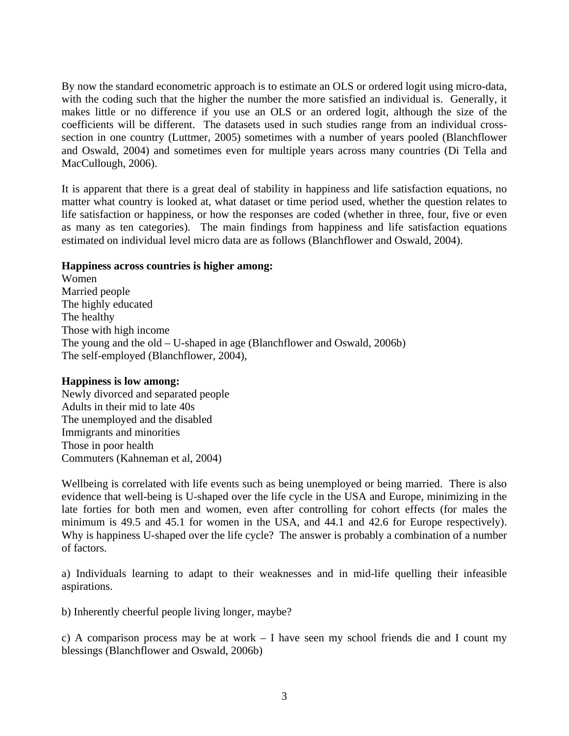By now the standard econometric approach is to estimate an OLS or ordered logit using micro-data, with the coding such that the higher the number the more satisfied an individual is. Generally, it makes little or no difference if you use an OLS or an ordered logit, although the size of the coefficients will be different. The datasets used in such studies range from an individual crosssection in one country (Luttmer, 2005) sometimes with a number of years pooled (Blanchflower and Oswald, 2004) and sometimes even for multiple years across many countries (Di Tella and MacCullough, 2006).

It is apparent that there is a great deal of stability in happiness and life satisfaction equations, no matter what country is looked at, what dataset or time period used, whether the question relates to life satisfaction or happiness, or how the responses are coded (whether in three, four, five or even as many as ten categories). The main findings from happiness and life satisfaction equations estimated on individual level micro data are as follows (Blanchflower and Oswald, 2004).

## **Happiness across countries is higher among:**

Women Married people The highly educated The healthy Those with high income The young and the old – U-shaped in age (Blanchflower and Oswald, 2006b) The self-employed (Blanchflower, 2004),

## **Happiness is low among:**

Newly divorced and separated people Adults in their mid to late 40s The unemployed and the disabled Immigrants and minorities Those in poor health Commuters (Kahneman et al, 2004)

Wellbeing is correlated with life events such as being unemployed or being married. There is also evidence that well-being is U-shaped over the life cycle in the USA and Europe, minimizing in the late forties for both men and women, even after controlling for cohort effects (for males the minimum is 49.5 and 45.1 for women in the USA, and 44.1 and 42.6 for Europe respectively). Why is happiness U-shaped over the life cycle? The answer is probably a combination of a number of factors.

a) Individuals learning to adapt to their weaknesses and in mid-life quelling their infeasible aspirations.

b) Inherently cheerful people living longer, maybe?

c) A comparison process may be at work – I have seen my school friends die and I count my blessings (Blanchflower and Oswald, 2006b)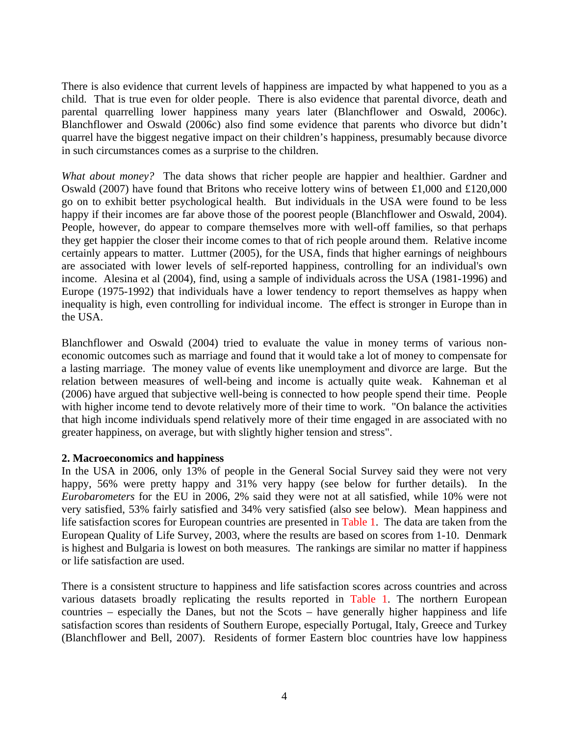There is also evidence that current levels of happiness are impacted by what happened to you as a child. That is true even for older people. There is also evidence that parental divorce, death and parental quarrelling lower happiness many years later (Blanchflower and Oswald, 2006c). Blanchflower and Oswald (2006c) also find some evidence that parents who divorce but didn't quarrel have the biggest negative impact on their children's happiness, presumably because divorce in such circumstances comes as a surprise to the children.

*What about money?* The data shows that richer people are happier and healthier. Gardner and Oswald (2007) have found that Britons who receive lottery wins of between £1,000 and £120,000 go on to exhibit better psychological health. But individuals in the USA were found to be less happy if their incomes are far above those of the poorest people (Blanchflower and Oswald, 2004). People, however, do appear to compare themselves more with well-off families, so that perhaps they get happier the closer their income comes to that of rich people around them. Relative income certainly appears to matter. Luttmer (2005), for the USA, finds that higher earnings of neighbours are associated with lower levels of self-reported happiness, controlling for an individual's own income. Alesina et al (2004), find, using a sample of individuals across the USA (1981-1996) and Europe (1975-1992) that individuals have a lower tendency to report themselves as happy when inequality is high, even controlling for individual income. The effect is stronger in Europe than in the USA.

Blanchflower and Oswald (2004) tried to evaluate the value in money terms of various noneconomic outcomes such as marriage and found that it would take a lot of money to compensate for a lasting marriage. The money value of events like unemployment and divorce are large. But the relation between measures of well-being and income is actually quite weak. Kahneman et al (2006) have argued that subjective well-being is connected to how people spend their time. People with higher income tend to devote relatively more of their time to work. "On balance the activities that high income individuals spend relatively more of their time engaged in are associated with no greater happiness, on average, but with slightly higher tension and stress".

## **2. Macroeconomics and happiness**

In the USA in 2006, only 13% of people in the General Social Survey said they were not very happy, 56% were pretty happy and 31% very happy (see below for further details). In the *Eurobarometers* for the EU in 2006, 2% said they were not at all satisfied, while 10% were not very satisfied, 53% fairly satisfied and 34% very satisfied (also see below). Mean happiness and life satisfaction scores for European countries are presented in Table 1. The data are taken from the European Quality of Life Survey, 2003, where the results are based on scores from 1-10. Denmark is highest and Bulgaria is lowest on both measures. The rankings are similar no matter if happiness or life satisfaction are used.

There is a consistent structure to happiness and life satisfaction scores across countries and across various datasets broadly replicating the results reported in Table 1. The northern European countries – especially the Danes, but not the Scots – have generally higher happiness and life satisfaction scores than residents of Southern Europe, especially Portugal, Italy, Greece and Turkey (Blanchflower and Bell, 2007). Residents of former Eastern bloc countries have low happiness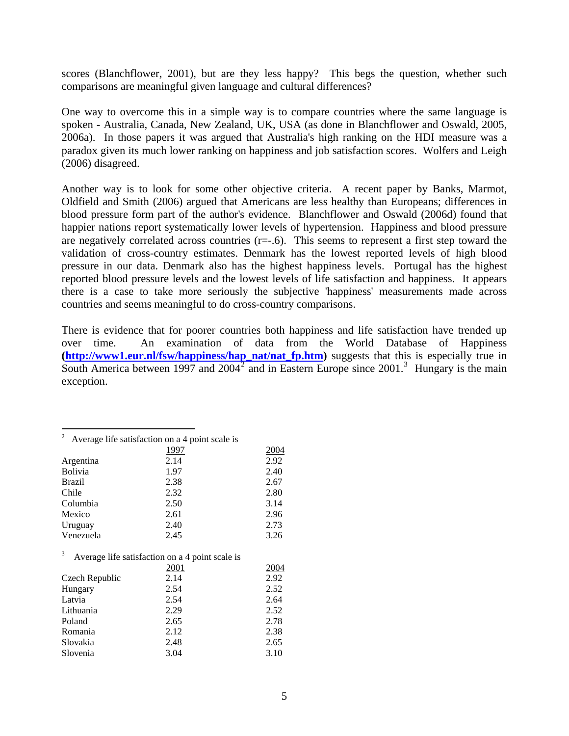scores (Blanchflower, 2001), but are they less happy? This begs the question, whether such comparisons are meaningful given language and cultural differences?

One way to overcome this in a simple way is to compare countries where the same language is spoken - Australia, Canada, New Zealand, UK, USA (as done in Blanchflower and Oswald, 2005, 2006a). In those papers it was argued that Australia's high ranking on the HDI measure was a paradox given its much lower ranking on happiness and job satisfaction scores. Wolfers and Leigh (2006) disagreed.

Another way is to look for some other objective criteria. A recent paper by Banks, Marmot, Oldfield and Smith (2006) argued that Americans are less healthy than Europeans; differences in blood pressure form part of the author's evidence. Blanchflower and Oswald (2006d) found that happier nations report systematically lower levels of hypertension. Happiness and blood pressure are negatively correlated across countries  $(r=-.6)$ . This seems to represent a first step toward the validation of cross-country estimates. Denmark has the lowest reported levels of high blood pressure in our data. Denmark also has the highest happiness levels. Portugal has the highest reported blood pressure levels and the lowest levels of life satisfaction and happiness. It appears there is a case to take more seriously the subjective 'happiness' measurements made across countries and seems meaningful to do cross-country comparisons.

There is evidence that for poorer countries both happiness and life satisfaction have trended up over time. An examination of data from the World Database of Happiness **[\(http://www1.eur.nl/fsw/happiness/hap\\_nat/nat\\_fp.htm](http://www1.eur.nl/fsw/happiness/hap_nat/nat_fp.htm))** suggests that this is especially true in South America between 1997 and  $2004<sup>2</sup>$  $2004<sup>2</sup>$  and in Eastern Europe since  $2001<sup>3</sup>$  $2001<sup>3</sup>$  $2001<sup>3</sup>$ . Hungary is the main exception.

|                | Average life satisfaction on a 4 point scale is |                     |
|----------------|-------------------------------------------------|---------------------|
|                | 1997                                            | 2004                |
| Argentina      | 2.14                                            | 2.92                |
| <b>Bolivia</b> | 1.97                                            | 2.40                |
| <b>Brazil</b>  | 2.38                                            | 2.67                |
| Chile          | 2.32                                            | 2.80                |
| Columbia       | 2.50                                            | 3.14                |
| Mexico         | 2.61                                            | 2.96                |
| Uruguay        | 2.40                                            | 2.73                |
| Venezuela      | 2.45                                            | 3.26                |
|                | Average life satisfaction on a 4 point scale is |                     |
|                | $\bigcap \bigcap 1$                             | $\bigcap \bigcap A$ |

1

<span id="page-6-1"></span><span id="page-6-0"></span>

|                | 2001 | 2004 |
|----------------|------|------|
| Czech Republic | 2.14 | 2.92 |
| Hungary        | 2.54 | 2.52 |
| Latvia         | 2.54 | 2.64 |
| Lithuania      | 2.29 | 2.52 |
| Poland         | 2.65 | 2.78 |
| Romania        | 2.12 | 2.38 |
| Slovakia       | 2.48 | 2.65 |
| Slovenia       | 3.04 | 3.10 |
|                |      |      |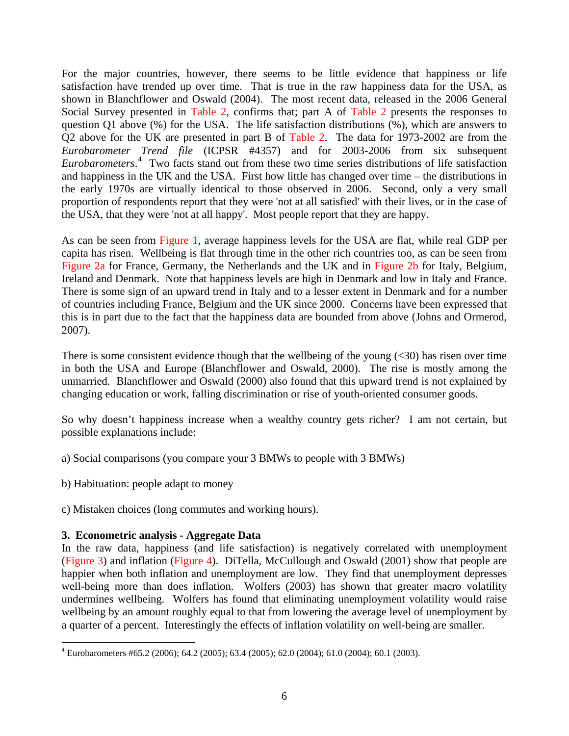For the major countries, however, there seems to be little evidence that happiness or life satisfaction have trended up over time. That is true in the raw happiness data for the USA, as shown in Blanchflower and Oswald (2004). The most recent data, released in the 2006 General Social Survey presented in Table 2, confirms that; part A of Table 2 presents the responses to question Q1 above (%) for the USA. The life satisfaction distributions (%), which are answers to Q2 above for the UK are presented in part B of Table 2. The data for 1973-2002 are from the *Eurobarometer Trend file* (ICPSR #4357) and for 2003-2006 from six subsequent *Eurobarometers*. [4](#page-7-0) Two facts stand out from these two time series distributions of life satisfaction and happiness in the UK and the USA. First how little has changed over time – the distributions in the early 1970s are virtually identical to those observed in 2006. Second, only a very small proportion of respondents report that they were 'not at all satisfied' with their lives, or in the case of the USA, that they were 'not at all happy'. Most people report that they are happy.

As can be seen from Figure 1, average happiness levels for the USA are flat, while real GDP per capita has risen. Wellbeing is flat through time in the other rich countries too, as can be seen from Figure 2a for France, Germany, the Netherlands and the UK and in Figure 2b for Italy, Belgium, Ireland and Denmark. Note that happiness levels are high in Denmark and low in Italy and France. There is some sign of an upward trend in Italy and to a lesser extent in Denmark and for a number of countries including France, Belgium and the UK since 2000. Concerns have been expressed that this is in part due to the fact that the happiness data are bounded from above (Johns and Ormerod, 2007).

There is some consistent evidence though that the wellbeing of the young  $(\leq 30)$  has risen over time in both the USA and Europe (Blanchflower and Oswald, 2000). The rise is mostly among the unmarried. Blanchflower and Oswald (2000) also found that this upward trend is not explained by changing education or work, falling discrimination or rise of youth-oriented consumer goods.

So why doesn't happiness increase when a wealthy country gets richer? I am not certain, but possible explanations include:

- a) Social comparisons (you compare your 3 BMWs to people with 3 BMWs)
- b) Habituation: people adapt to money
- c) Mistaken choices (long commutes and working hours).

## **3. Econometric analysis - Aggregate Data**

In the raw data, happiness (and life satisfaction) is negatively correlated with unemployment (Figure 3) and inflation (Figure 4). DiTella, McCullough and Oswald (2001) show that people are happier when both inflation and unemployment are low. They find that unemployment depresses well-being more than does inflation. Wolfers (2003) has shown that greater macro volatility undermines wellbeing. Wolfers has found that eliminating unemployment volatility would raise wellbeing by an amount roughly equal to that from lowering the average level of unemployment by a quarter of a percent. Interestingly the effects of inflation volatility on well-being are smaller.

<span id="page-7-0"></span> 4 Eurobarometers #65.2 (2006); 64.2 (2005); 63.4 (2005); 62.0 (2004); 61.0 (2004); 60.1 (2003).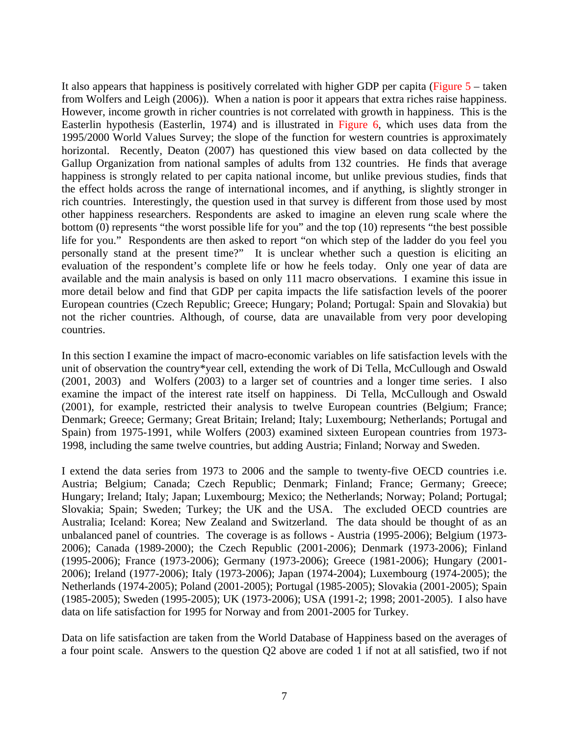It also appears that happiness is positively correlated with higher GDP per capita ( $Figure 5$  – taken from Wolfers and Leigh (2006)). When a nation is poor it appears that extra riches raise happiness. However, income growth in richer countries is not correlated with growth in happiness. This is the Easterlin hypothesis (Easterlin, 1974) and is illustrated in Figure 6, which uses data from the 1995/2000 World Values Survey; the slope of the function for western countries is approximately horizontal. Recently, Deaton (2007) has questioned this view based on data collected by the Gallup Organization from national samples of adults from 132 countries. He finds that average happiness is strongly related to per capita national income, but unlike previous studies, finds that the effect holds across the range of international incomes, and if anything, is slightly stronger in rich countries. Interestingly, the question used in that survey is different from those used by most other happiness researchers. Respondents are asked to imagine an eleven rung scale where the bottom (0) represents "the worst possible life for you" and the top (10) represents "the best possible life for you." Respondents are then asked to report "on which step of the ladder do you feel you personally stand at the present time?" It is unclear whether such a question is eliciting an evaluation of the respondent's complete life or how he feels today. Only one year of data are available and the main analysis is based on only 111 macro observations. I examine this issue in more detail below and find that GDP per capita impacts the life satisfaction levels of the poorer European countries (Czech Republic; Greece; Hungary; Poland; Portugal: Spain and Slovakia) but not the richer countries. Although, of course, data are unavailable from very poor developing countries.

In this section I examine the impact of macro-economic variables on life satisfaction levels with the unit of observation the country\*year cell, extending the work of Di Tella, McCullough and Oswald (2001, 2003) and Wolfers (2003) to a larger set of countries and a longer time series. I also examine the impact of the interest rate itself on happiness. Di Tella, McCullough and Oswald (2001), for example, restricted their analysis to twelve European countries (Belgium; France; Denmark; Greece; Germany; Great Britain; Ireland; Italy; Luxembourg; Netherlands; Portugal and Spain) from 1975-1991, while Wolfers (2003) examined sixteen European countries from 1973- 1998, including the same twelve countries, but adding Austria; Finland; Norway and Sweden.

I extend the data series from 1973 to 2006 and the sample to twenty-five OECD countries i.e. Austria; Belgium; Canada; Czech Republic; Denmark; Finland; France; Germany; Greece; Hungary; Ireland; Italy; Japan; Luxembourg; Mexico; the Netherlands; Norway; Poland; Portugal; Slovakia; Spain; Sweden; Turkey; the UK and the USA. The excluded OECD countries are Australia; Iceland: Korea; New Zealand and Switzerland. The data should be thought of as an unbalanced panel of countries. The coverage is as follows - Austria (1995-2006); Belgium (1973- 2006); Canada (1989-2000); the Czech Republic (2001-2006); Denmark (1973-2006); Finland (1995-2006); France (1973-2006); Germany (1973-2006); Greece (1981-2006); Hungary (2001- 2006); Ireland (1977-2006); Italy (1973-2006); Japan (1974-2004); Luxembourg (1974-2005); the Netherlands (1974-2005); Poland (2001-2005); Portugal (1985-2005); Slovakia (2001-2005); Spain (1985-2005); Sweden (1995-2005); UK (1973-2006); USA (1991-2; 1998; 2001-2005). I also have data on life satisfaction for 1995 for Norway and from 2001-2005 for Turkey.

Data on life satisfaction are taken from the World Database of Happiness based on the averages of a four point scale. Answers to the question Q2 above are coded 1 if not at all satisfied, two if not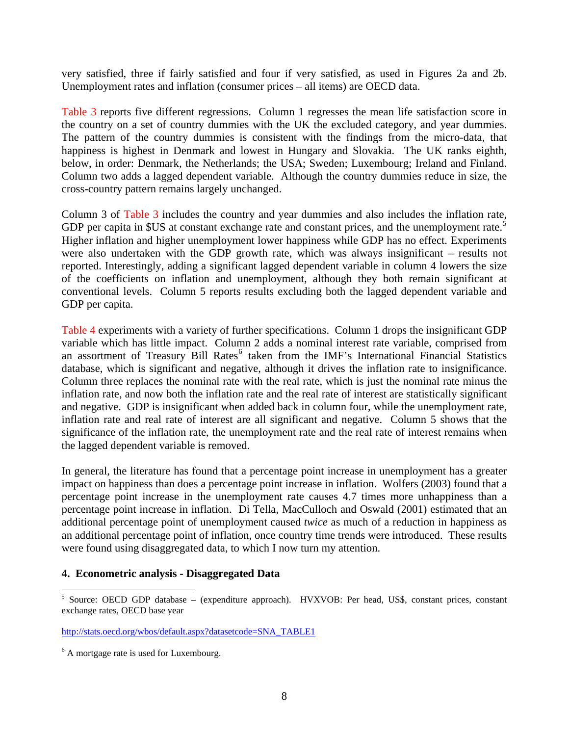very satisfied, three if fairly satisfied and four if very satisfied, as used in Figures 2a and 2b. Unemployment rates and inflation (consumer prices – all items) are OECD data.

Table 3 reports five different regressions. Column 1 regresses the mean life satisfaction score in the country on a set of country dummies with the UK the excluded category, and year dummies. The pattern of the country dummies is consistent with the findings from the micro-data, that happiness is highest in Denmark and lowest in Hungary and Slovakia. The UK ranks eighth, below, in order: Denmark, the Netherlands; the USA; Sweden; Luxembourg; Ireland and Finland. Column two adds a lagged dependent variable. Although the country dummies reduce in size, the cross-country pattern remains largely unchanged.

Column 3 of Table 3 includes the country and year dummies and also includes the inflation rate, GDP per capita in \$US at constant exchange rate and constant prices, and the unemployment rate.<sup>[5](#page-9-0)</sup> Higher inflation and higher unemployment lower happiness while GDP has no effect. Experiments were also undertaken with the GDP growth rate, which was always insignificant – results not reported. Interestingly, adding a significant lagged dependent variable in column 4 lowers the size of the coefficients on inflation and unemployment, although they both remain significant at conventional levels. Column 5 reports results excluding both the lagged dependent variable and GDP per capita.

Table 4 experiments with a variety of further specifications. Column 1 drops the insignificant GDP variable which has little impact. Column 2 adds a nominal interest rate variable, comprised from an assortment of Treasury Bill Rates<sup>[6](#page-9-1)</sup> taken from the IMF's International Financial Statistics database, which is significant and negative, although it drives the inflation rate to insignificance. Column three replaces the nominal rate with the real rate, which is just the nominal rate minus the inflation rate, and now both the inflation rate and the real rate of interest are statistically significant and negative. GDP is insignificant when added back in column four, while the unemployment rate, inflation rate and real rate of interest are all significant and negative. Column 5 shows that the significance of the inflation rate, the unemployment rate and the real rate of interest remains when the lagged dependent variable is removed.

In general, the literature has found that a percentage point increase in unemployment has a greater impact on happiness than does a percentage point increase in inflation. Wolfers (2003) found that a percentage point increase in the unemployment rate causes 4.7 times more unhappiness than a percentage point increase in inflation. Di Tella, MacCulloch and Oswald (2001) estimated that an additional percentage point of unemployment caused *twice* as much of a reduction in happiness as an additional percentage point of inflation, once country time trends were introduced. These results were found using disaggregated data, to which I now turn my attention.

## **4. Econometric analysis - Disaggregated Data**

 5 Source: OECD GDP database – (expenditure approach). HVXVOB: Per head, US\$, constant prices, constant exchange rates, OECD base year

[http://stats.oecd.org/wbos/default.aspx?datasetcode=SNA\\_TABLE1](http://stats.oecd.org/wbos/default.aspx?datasetcode=SNA_TABLE1)

<span id="page-9-1"></span><span id="page-9-0"></span><sup>&</sup>lt;sup>6</sup> A mortgage rate is used for Luxembourg.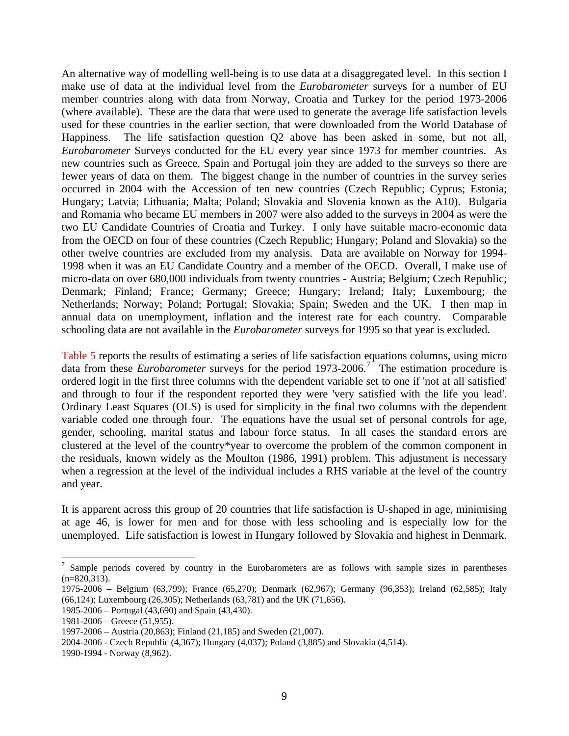An alternative way of modelling well-being is to use data at a disaggregated level. In this section I make use of data at the individual level from the *Eurobarometer* surveys for a number of EU member countries along with data from Norway, Croatia and Turkey for the period 1973-2006 (where available). These are the data that were used to generate the average life satisfaction levels used for these countries in the earlier section, that were downloaded from the World Database of Happiness. The life satisfaction question Q2 above has been asked in some, but not all, *Eurobarometer* Surveys conducted for the EU every year since 1973 for member countries. As new countries such as Greece, Spain and Portugal join they are added to the surveys so there are fewer years of data on them. The biggest change in the number of countries in the survey series occurred in 2004 with the Accession of ten new countries (Czech Republic; Cyprus; Estonia; Hungary; Latvia; Lithuania; Malta; Poland; Slovakia and Slovenia known as the A10). Bulgaria and Romania who became EU members in 2007 were also added to the surveys in 2004 as were the two EU Candidate Countries of Croatia and Turkey. I only have suitable macro-economic data from the OECD on four of these countries (Czech Republic; Hungary; Poland and Slovakia) so the other twelve countries are excluded from my analysis. Data are available on Norway for 1994- 1998 when it was an EU Candidate Country and a member of the OECD. Overall, I make use of micro-data on over 680,000 individuals from twenty countries - Austria; Belgium; Czech Republic; Denmark; Finland; France; Germany; Greece; Hungary; Ireland; Italy; Luxembourg; the Netherlands; Norway; Poland; Portugal; Slovakia; Spain; Sweden and the UK. I then map in annual data on unemployment, inflation and the interest rate for each country. Comparable schooling data are not available in the *Eurobarometer* surveys for 1995 so that year is excluded.

Table 5 reports the results of estimating a series of life satisfaction equations columns, using micro data from these *Eurobarometer* surveys for the period 19[7](#page-10-0)3-2006.<sup>7</sup> The estimation procedure is ordered logit in the first three columns with the dependent variable set to one if 'not at all satisfied' and through to four if the respondent reported they were 'very satisfied with the life you lead'. Ordinary Least Squares (OLS) is used for simplicity in the final two columns with the dependent variable coded one through four. The equations have the usual set of personal controls for age, gender, schooling, marital status and labour force status. In all cases the standard errors are clustered at the level of the country\*year to overcome the problem of the common component in the residuals, known widely as the Moulton (1986, 1991) problem. This adjustment is necessary when a regression at the level of the individual includes a RHS variable at the level of the country and year.

It is apparent across this group of 20 countries that life satisfaction is U-shaped in age, minimising at age 46, is lower for men and for those with less schooling and is especially low for the unemployed. Life satisfaction is lowest in Hungary followed by Slovakia and highest in Denmark.

1

<span id="page-10-0"></span><sup>&</sup>lt;sup>7</sup> Sample periods covered by country in the Eurobarometers are as follows with sample sizes in parentheses  $(n=820,313)$ .

<sup>1975-2006 –</sup> Belgium (63,799); France (65,270); Denmark (62,967); Germany (96,353); Ireland (62,585); Italy (66,124); Luxembourg (26,305); Netherlands (63,781) and the UK (71,656).

<sup>1985-2006 –</sup> Portugal (43,690) and Spain (43,430).

<sup>1981-2006 –</sup> Greece (51,955).

<sup>1997-2006 –</sup> Austria (20,863); Finland (21,185) and Sweden (21,007).

<sup>2004-2006 -</sup> Czech Republic (4,367); Hungary (4,037); Poland (3,885) and Slovakia (4,514).

<sup>1990-1994 -</sup> Norway (8,962).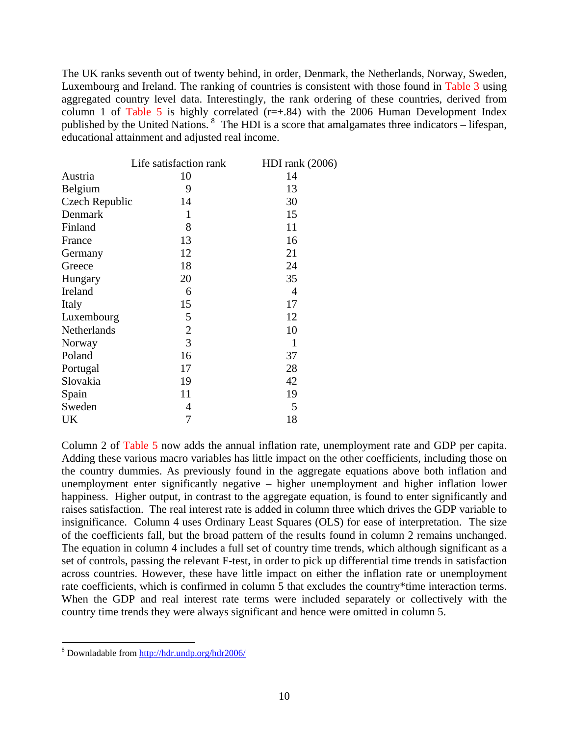The UK ranks seventh out of twenty behind, in order, Denmark, the Netherlands, Norway, Sweden, Luxembourg and Ireland. The ranking of countries is consistent with those found in Table 3 using aggregated country level data. Interestingly, the rank ordering of these countries, derived from column 1 of Table 5 is highly correlated  $(r=+0.84)$  with the 2006 Human Development Index published by the United Nations. <sup>[8](#page-11-0)</sup> The HDI is a score that amalgamates three indicators – lifespan, educational attainment and adjusted real income.

|                | Life satisfaction rank | HDI rank $(2006)$ |
|----------------|------------------------|-------------------|
| Austria        | 10                     | 14                |
| Belgium        | 9                      | 13                |
| Czech Republic | 14                     | 30                |
| Denmark        | 1                      | 15                |
| Finland        | 8                      | 11                |
| France         | 13                     | 16                |
| Germany        | 12                     | 21                |
| Greece         | 18                     | 24                |
| Hungary        | 20                     | 35                |
| Ireland        | 6                      | $\overline{4}$    |
| Italy          | 15                     | 17                |
| Luxembourg     | 5                      | 12                |
| Netherlands    | $\mathbf{2}$           | 10                |
| Norway         | 3                      | 1                 |
| Poland         | 16                     | 37                |
| Portugal       | 17                     | 28                |
| Slovakia       | 19                     | 42                |
| Spain          | 11                     | 19                |
| Sweden         | 4                      | 5                 |
| UK             | 7                      | 18                |

Column 2 of Table 5 now adds the annual inflation rate, unemployment rate and GDP per capita. Adding these various macro variables has little impact on the other coefficients, including those on the country dummies. As previously found in the aggregate equations above both inflation and unemployment enter significantly negative – higher unemployment and higher inflation lower happiness. Higher output, in contrast to the aggregate equation, is found to enter significantly and raises satisfaction. The real interest rate is added in column three which drives the GDP variable to insignificance. Column 4 uses Ordinary Least Squares (OLS) for ease of interpretation. The size of the coefficients fall, but the broad pattern of the results found in column 2 remains unchanged. The equation in column 4 includes a full set of country time trends, which although significant as a set of controls, passing the relevant F-test, in order to pick up differential time trends in satisfaction across countries. However, these have little impact on either the inflation rate or unemployment rate coefficients, which is confirmed in column 5 that excludes the country\*time interaction terms. When the GDP and real interest rate terms were included separately or collectively with the country time trends they were always significant and hence were omitted in column 5.

<span id="page-11-0"></span><sup>8&</sup>lt;br>8 Downladable from <http://hdr.undp.org/hdr2006/>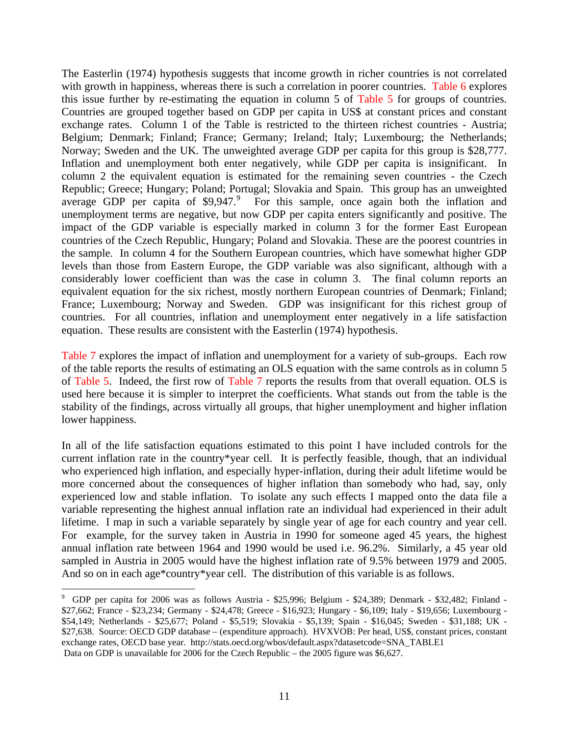The Easterlin (1974) hypothesis suggests that income growth in richer countries is not correlated with growth in happiness, whereas there is such a correlation in poorer countries. Table 6 explores this issue further by re-estimating the equation in column 5 of Table 5 for groups of countries. Countries are grouped together based on GDP per capita in US\$ at constant prices and constant exchange rates. Column 1 of the Table is restricted to the thirteen richest countries - Austria; Belgium; Denmark; Finland; France; Germany; Ireland; Italy; Luxembourg; the Netherlands; Norway; Sweden and the UK. The unweighted average GDP per capita for this group is \$28,777. Inflation and unemployment both enter negatively, while GDP per capita is insignificant. In column 2 the equivalent equation is estimated for the remaining seven countries - the Czech Republic; Greece; Hungary; Poland; Portugal; Slovakia and Spain. This group has an unweighted average GDP per capita of \$[9](#page-12-0),947.<sup>9</sup> For this sample, once again both the inflation and unemployment terms are negative, but now GDP per capita enters significantly and positive. The impact of the GDP variable is especially marked in column 3 for the former East European countries of the Czech Republic, Hungary; Poland and Slovakia. These are the poorest countries in the sample. In column 4 for the Southern European countries, which have somewhat higher GDP levels than those from Eastern Europe, the GDP variable was also significant, although with a considerably lower coefficient than was the case in column 3. The final column reports an equivalent equation for the six richest, mostly northern European countries of Denmark; Finland; France; Luxembourg; Norway and Sweden. GDP was insignificant for this richest group of countries. For all countries, inflation and unemployment enter negatively in a life satisfaction equation. These results are consistent with the Easterlin (1974) hypothesis.

Table 7 explores the impact of inflation and unemployment for a variety of sub-groups. Each row of the table reports the results of estimating an OLS equation with the same controls as in column 5 of Table 5. Indeed, the first row of Table 7 reports the results from that overall equation. OLS is used here because it is simpler to interpret the coefficients. What stands out from the table is the stability of the findings, across virtually all groups, that higher unemployment and higher inflation lower happiness.

In all of the life satisfaction equations estimated to this point I have included controls for the current inflation rate in the country\*year cell. It is perfectly feasible, though, that an individual who experienced high inflation, and especially hyper-inflation, during their adult lifetime would be more concerned about the consequences of higher inflation than somebody who had, say, only experienced low and stable inflation. To isolate any such effects I mapped onto the data file a variable representing the highest annual inflation rate an individual had experienced in their adult lifetime. I map in such a variable separately by single year of age for each country and year cell. For example, for the survey taken in Austria in 1990 for someone aged 45 years, the highest annual inflation rate between 1964 and 1990 would be used i.e. 96.2%. Similarly, a 45 year old sampled in Austria in 2005 would have the highest inflation rate of 9.5% between 1979 and 2005. And so on in each age\*country\*year cell. The distribution of this variable is as follows.

<span id="page-12-0"></span> 9 GDP per capita for 2006 was as follows Austria - \$25,996; Belgium - \$24,389; Denmark - \$32,482; Finland - \$27,662; France - \$23,234; Germany - \$24,478; Greece - \$16,923; Hungary - \$6,109; Italy - \$19,656; Luxembourg - \$54,149; Netherlands - \$25,677; Poland - \$5,519; Slovakia - \$5,139; Spain - \$16,045; Sweden - \$31,188; UK - \$27,638. Source: OECD GDP database – (expenditure approach). HVXVOB: Per head, US\$, constant prices, constant exchange rates, OECD base year. [http://stats.oecd.org/wbos/default.aspx?datasetcode=SNA\\_TABLE1](http://stats.oecd.org/wbos/default.aspx?datasetcode=SNA_TABLE1) Data on GDP is unavailable for 2006 for the Czech Republic – the 2005 figure was \$6,627.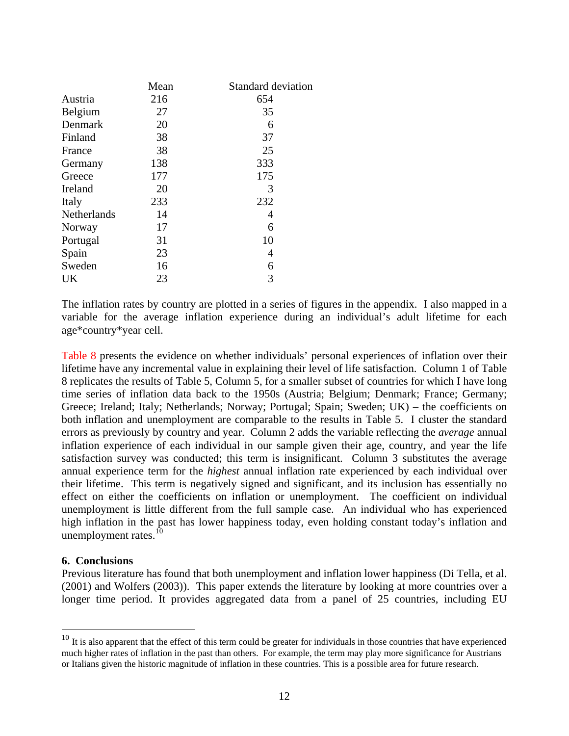|             | Mean | Standard deviation |
|-------------|------|--------------------|
| Austria     | 216  | 654                |
| Belgium     | 27   | 35                 |
| Denmark     | 20   | 6                  |
| Finland     | 38   | 37                 |
| France      | 38   | 25                 |
| Germany     | 138  | 333                |
| Greece      | 177  | 175                |
| Ireland     | 20   | 3                  |
| Italy       | 233  | 232                |
| Netherlands | 14   | 4                  |
| Norway      | 17   | 6                  |
| Portugal    | 31   | 10                 |
| Spain       | 23   | 4                  |
| Sweden      | 16   | 6                  |
| UK          | 23   | 3                  |

The inflation rates by country are plotted in a series of figures in the appendix. I also mapped in a variable for the average inflation experience during an individual's adult lifetime for each age\*country\*year cell.

Table 8 presents the evidence on whether individuals' personal experiences of inflation over their lifetime have any incremental value in explaining their level of life satisfaction. Column 1 of Table 8 replicates the results of Table 5, Column 5, for a smaller subset of countries for which I have long time series of inflation data back to the 1950s (Austria; Belgium; Denmark; France; Germany; Greece; Ireland; Italy; Netherlands; Norway; Portugal; Spain; Sweden; UK) – the coefficients on both inflation and unemployment are comparable to the results in Table 5. I cluster the standard errors as previously by country and year. Column 2 adds the variable reflecting the *average* annual inflation experience of each individual in our sample given their age, country, and year the life satisfaction survey was conducted; this term is insignificant. Column 3 substitutes the average annual experience term for the *highest* annual inflation rate experienced by each individual over their lifetime. This term is negatively signed and significant, and its inclusion has essentially no effect on either the coefficients on inflation or unemployment. The coefficient on individual unemployment is little different from the full sample case. An individual who has experienced high inflation in the past has lower happiness today, even holding constant today's inflation and unemployment rates. $10$ 

#### **6. Conclusions**

1

Previous literature has found that both unemployment and inflation lower happiness (Di Tella, et al. (2001) and Wolfers (2003)). This paper extends the literature by looking at more countries over a longer time period. It provides aggregated data from a panel of 25 countries, including EU

<span id="page-13-0"></span> $10$  It is also apparent that the effect of this term could be greater for individuals in those countries that have experienced much higher rates of inflation in the past than others. For example, the term may play more significance for Austrians or Italians given the historic magnitude of inflation in these countries. This is a possible area for future research.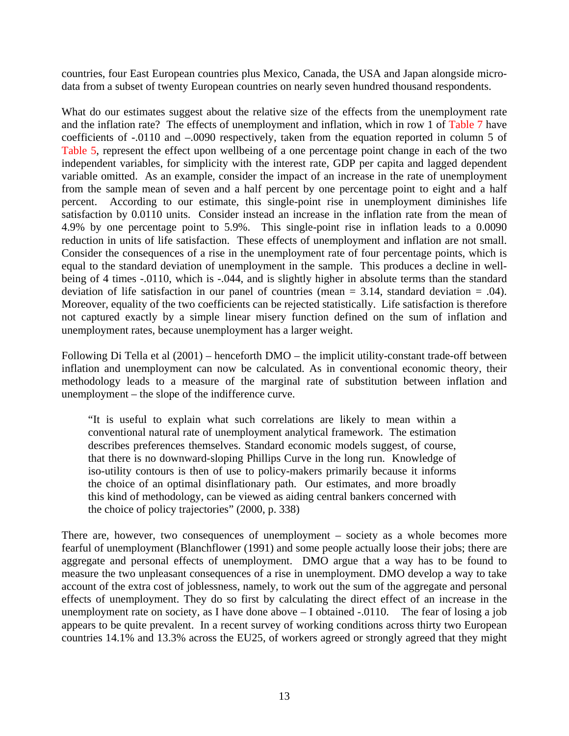countries, four East European countries plus Mexico, Canada, the USA and Japan alongside microdata from a subset of twenty European countries on nearly seven hundred thousand respondents.

What do our estimates suggest about the relative size of the effects from the unemployment rate and the inflation rate? The effects of unemployment and inflation, which in row 1 of Table 7 have coefficients of -.0110 and –.0090 respectively, taken from the equation reported in column 5 of Table 5, represent the effect upon wellbeing of a one percentage point change in each of the two independent variables, for simplicity with the interest rate, GDP per capita and lagged dependent variable omitted. As an example, consider the impact of an increase in the rate of unemployment from the sample mean of seven and a half percent by one percentage point to eight and a half percent. According to our estimate, this single-point rise in unemployment diminishes life satisfaction by 0.0110 units. Consider instead an increase in the inflation rate from the mean of 4.9% by one percentage point to 5.9%. This single-point rise in inflation leads to a 0.0090 reduction in units of life satisfaction. These effects of unemployment and inflation are not small. Consider the consequences of a rise in the unemployment rate of four percentage points, which is equal to the standard deviation of unemployment in the sample. This produces a decline in wellbeing of 4 times -.0110, which is -.044, and is slightly higher in absolute terms than the standard deviation of life satisfaction in our panel of countries (mean  $= 3.14$ , standard deviation  $= .04$ ). Moreover, equality of the two coefficients can be rejected statistically. Life satisfaction is therefore not captured exactly by a simple linear misery function defined on the sum of inflation and unemployment rates, because unemployment has a larger weight.

Following Di Tella et al (2001) – henceforth DMO – the implicit utility-constant trade-off between inflation and unemployment can now be calculated. As in conventional economic theory, their methodology leads to a measure of the marginal rate of substitution between inflation and unemployment – the slope of the indifference curve.

"It is useful to explain what such correlations are likely to mean within a conventional natural rate of unemployment analytical framework. The estimation describes preferences themselves. Standard economic models suggest, of course, that there is no downward-sloping Phillips Curve in the long run. Knowledge of iso-utility contours is then of use to policy-makers primarily because it informs the choice of an optimal disinflationary path. Our estimates, and more broadly this kind of methodology, can be viewed as aiding central bankers concerned with the choice of policy trajectories" (2000, p. 338)

There are, however, two consequences of unemployment – society as a whole becomes more fearful of unemployment (Blanchflower (1991) and some people actually loose their jobs; there are aggregate and personal effects of unemployment. DMO argue that a way has to be found to measure the two unpleasant consequences of a rise in unemployment. DMO develop a way to take account of the extra cost of joblessness, namely, to work out the sum of the aggregate and personal effects of unemployment. They do so first by calculating the direct effect of an increase in the unemployment rate on society, as I have done above – I obtained -.0110. The fear of losing a job appears to be quite prevalent. In a recent survey of working conditions across thirty two European countries 14.1% and 13.3% across the EU25, of workers agreed or strongly agreed that they might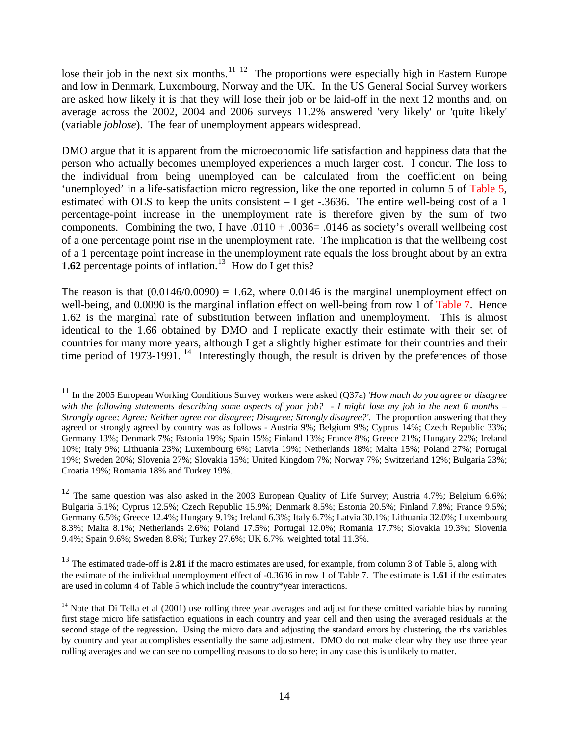lose their job in the next six months.<sup> $11\,12$  $11\,12$  $11\,12$ </sup> The proportions were especially high in Eastern Europe and low in Denmark, Luxembourg, Norway and the UK. In the US General Social Survey workers are asked how likely it is that they will lose their job or be laid-off in the next 12 months and, on average across the 2002, 2004 and 2006 surveys 11.2% answered 'very likely' or 'quite likely' (variable *joblose*). The fear of unemployment appears widespread.

DMO argue that it is apparent from the microeconomic life satisfaction and happiness data that the person who actually becomes unemployed experiences a much larger cost. I concur. The loss to the individual from being unemployed can be calculated from the coefficient on being 'unemployed' in a life-satisfaction micro regression, like the one reported in column 5 of Table 5, estimated with OLS to keep the units consistent  $- I$  get  $-.3636$ . The entire well-being cost of a 1 percentage-point increase in the unemployment rate is therefore given by the sum of two components. Combining the two, I have  $.0110 + .0036 = .0146$  as society's overall wellbeing cost of a one percentage point rise in the unemployment rate. The implication is that the wellbeing cost of a 1 percentage point increase in the unemployment rate equals the loss brought about by an extra **1.62** percentage points of inflation.<sup>[13](#page-15-2)</sup> How do I get this?

The reason is that  $(0.0146/0.0090) = 1.62$ , where 0.0146 is the marginal unemployment effect on well-being, and 0.0090 is the marginal inflation effect on well-being from row 1 of Table 7. Hence 1.62 is the marginal rate of substitution between inflation and unemployment. This is almost identical to the 1.66 obtained by DMO and I replicate exactly their estimate with their set of countries for many more years, although I get a slightly higher estimate for their countries and their time period of 1973-1991.<sup>[14](#page-15-3)</sup> Interestingly though, the result is driven by the preferences of those

1

<sup>11</sup> In the 2005 European Working Conditions Survey workers were asked (Q37a) '*How much do you agree or disagree*  with the following statements describing some aspects of your job? - I might lose my job in the next 6 months – *Strongly agree; Agree; Neither agree nor disagree; Disagree; Strongly disagree?'.* The proportion answering that they agreed or strongly agreed by country was as follows - Austria 9%; Belgium 9%; Cyprus 14%; Czech Republic 33%; Germany 13%; Denmark 7%; Estonia 19%; Spain 15%; Finland 13%; France 8%; Greece 21%; Hungary 22%; Ireland 10%; Italy 9%; Lithuania 23%; Luxembourg 6%; Latvia 19%; Netherlands 18%; Malta 15%; Poland 27%; Portugal 19%; Sweden 20%; Slovenia 27%; Slovakia 15%; United Kingdom 7%; Norway 7%; Switzerland 12%; Bulgaria 23%; Croatia 19%; Romania 18% and Turkey 19%.

<sup>&</sup>lt;sup>12</sup> The same question was also asked in the 2003 European Quality of Life Survey; Austria 4.7%; Belgium 6.6%; Bulgaria 5.1%; Cyprus 12.5%; Czech Republic 15.9%; Denmark 8.5%; Estonia 20.5%; Finland 7.8%; France 9.5%; Germany 6.5%; Greece 12.4%; Hungary 9.1%; Ireland 6.3%; Italy 6.7%; Latvia 30.1%; Lithuania 32.0%; Luxembourg 8.3%; Malta 8.1%; Netherlands 2.6%; Poland 17.5%; Portugal 12.0%; Romania 17.7%; Slovakia 19.3%; Slovenia 9.4%; Spain 9.6%; Sweden 8.6%; Turkey 27.6%; UK 6.7%; weighted total 11.3%.

<span id="page-15-0"></span><sup>&</sup>lt;sup>13</sup> The estimated trade-off is **2.81** if the macro estimates are used, for example, from column 3 of Table 5, along with the estimate of the individual unemployment effect of -0.3636 in row 1 of Table 7. The estimate is **1.61** if the estimates are used in column 4 of Table 5 which include the country\*year interactions.

<span id="page-15-3"></span><span id="page-15-2"></span><span id="page-15-1"></span> $14$  Note that Di Tella et al (2001) use rolling three year averages and adjust for these omitted variable bias by running first stage micro life satisfaction equations in each country and year cell and then using the averaged residuals at the second stage of the regression. Using the micro data and adjusting the standard errors by clustering, the rhs variables by country and year accomplishes essentially the same adjustment. DMO do not make clear why they use three year rolling averages and we can see no compelling reasons to do so here; in any case this is unlikely to matter.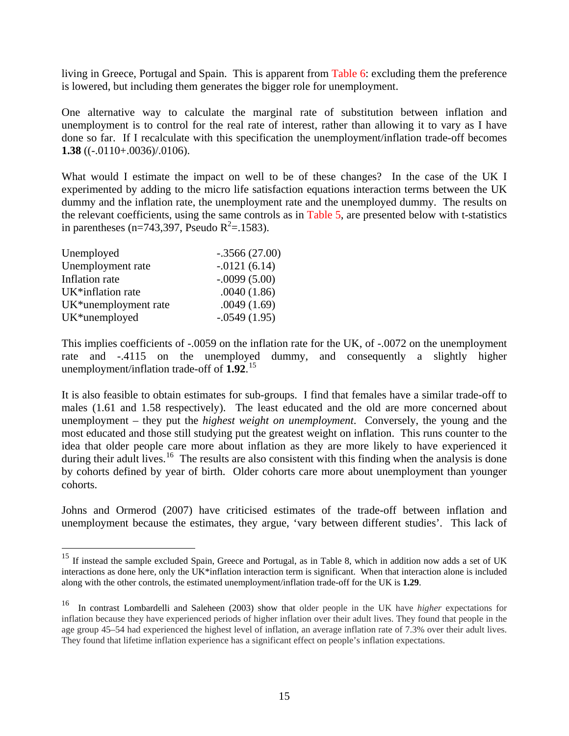living in Greece, Portugal and Spain. This is apparent from Table 6: excluding them the preference is lowered, but including them generates the bigger role for unemployment.

One alternative way to calculate the marginal rate of substitution between inflation and unemployment is to control for the real rate of interest, rather than allowing it to vary as I have done so far. If I recalculate with this specification the unemployment/inflation trade-off becomes **1.38** ((-.0110+.0036)/.0106).

What would I estimate the impact on well to be of these changes? In the case of the UK I experimented by adding to the micro life satisfaction equations interaction terms between the UK dummy and the inflation rate, the unemployment rate and the unemployed dummy. The results on the relevant coefficients, using the same controls as in Table 5, are presented below with t-statistics in parentheses (n=743,397, Pseudo  $R^2 = 0.1583$ ).

| Unemployed                        | $-.3566(27.00)$ |
|-----------------------------------|-----------------|
| Unemployment rate                 | $-.0121(6.14)$  |
| Inflation rate                    | $-.0099(5.00)$  |
| UK*inflation rate                 | .0040(1.86)     |
| UK <sup>*</sup> unemployment rate | .0049(1.69)     |
| UK*unemployed                     | $-.0549(1.95)$  |

1

This implies coefficients of -.0059 on the inflation rate for the UK, of -.0072 on the unemployment rate and -.4115 on the unemployed dummy, and consequently a slightly higher unemployment/inflation trade-off of **1.92**. [15](#page-16-0)

It is also feasible to obtain estimates for sub-groups. I find that females have a similar trade-off to males (1.61 and 1.58 respectively). The least educated and the old are more concerned about unemployment – they put the *highest weight on unemployment*. Conversely, the young and the most educated and those still studying put the greatest weight on inflation. This runs counter to the idea that older people care more about inflation as they are more likely to have experienced it during their adult lives.<sup>[16](#page-16-1)</sup> The results are also consistent with this finding when the analysis is done by cohorts defined by year of birth. Older cohorts care more about unemployment than younger cohorts.

Johns and Ormerod (2007) have criticised estimates of the trade-off between inflation and unemployment because the estimates, they argue, 'vary between different studies'. This lack of

<sup>&</sup>lt;sup>15</sup> If instead the sample excluded Spain, Greece and Portugal, as in Table 8, which in addition now adds a set of UK interactions as done here, only the UK\*inflation interaction term is significant. When that interaction alone is included along with the other controls, the estimated unemployment/inflation trade-off for the UK is **1.29**.

<span id="page-16-1"></span><span id="page-16-0"></span><sup>16</sup> In contrast Lombardelli and Saleheen (2003) show that older people in the UK have *higher* expectations for inflation because they have experienced periods of higher inflation over their adult lives. They found that people in the age group 45–54 had experienced the highest level of inflation, an average inflation rate of 7.3% over their adult lives. They found that lifetime inflation experience has a significant effect on people's inflation expectations.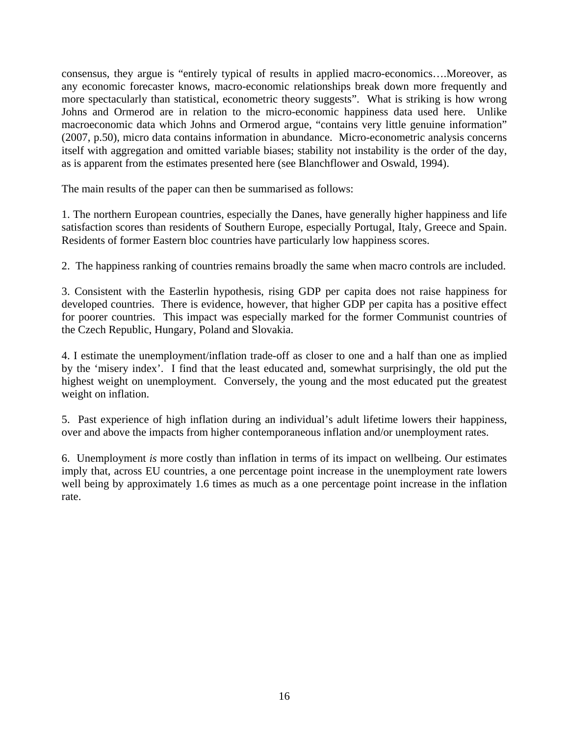consensus, they argue is "entirely typical of results in applied macro-economics….Moreover, as any economic forecaster knows, macro-economic relationships break down more frequently and more spectacularly than statistical, econometric theory suggests". What is striking is how wrong Johns and Ormerod are in relation to the micro-economic happiness data used here. Unlike macroeconomic data which Johns and Ormerod argue, "contains very little genuine information" (2007, p.50), micro data contains information in abundance. Micro-econometric analysis concerns itself with aggregation and omitted variable biases; stability not instability is the order of the day, as is apparent from the estimates presented here (see Blanchflower and Oswald, 1994).

The main results of the paper can then be summarised as follows:

1. The northern European countries, especially the Danes, have generally higher happiness and life satisfaction scores than residents of Southern Europe, especially Portugal, Italy, Greece and Spain. Residents of former Eastern bloc countries have particularly low happiness scores.

2. The happiness ranking of countries remains broadly the same when macro controls are included.

3. Consistent with the Easterlin hypothesis, rising GDP per capita does not raise happiness for developed countries. There is evidence, however, that higher GDP per capita has a positive effect for poorer countries. This impact was especially marked for the former Communist countries of the Czech Republic, Hungary, Poland and Slovakia.

4. I estimate the unemployment/inflation trade-off as closer to one and a half than one as implied by the 'misery index'. I find that the least educated and, somewhat surprisingly, the old put the highest weight on unemployment. Conversely, the young and the most educated put the greatest weight on inflation.

5. Past experience of high inflation during an individual's adult lifetime lowers their happiness, over and above the impacts from higher contemporaneous inflation and/or unemployment rates.

6. Unemployment *is* more costly than inflation in terms of its impact on wellbeing. Our estimates imply that, across EU countries, a one percentage point increase in the unemployment rate lowers well being by approximately 1.6 times as much as a one percentage point increase in the inflation rate.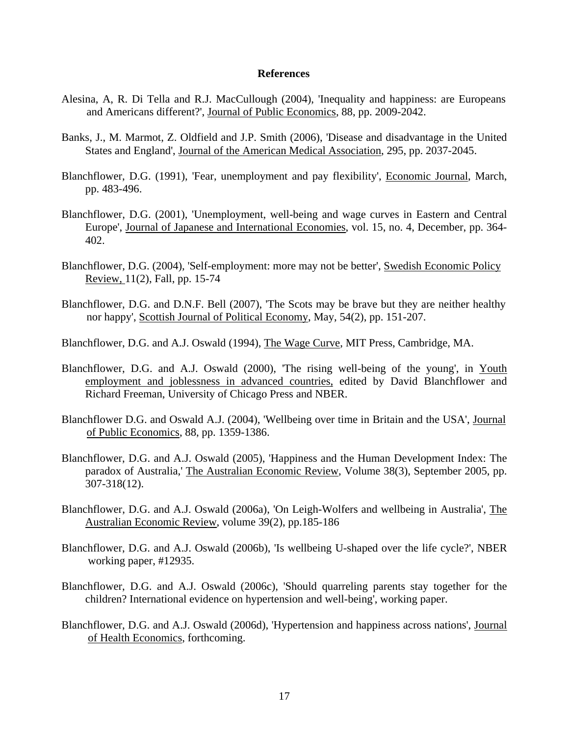#### **References**

- Alesina, A, R. Di Tella and R.J. MacCullough (2004), 'Inequality and happiness: are Europeans and Americans different?', Journal of Public Economics, 88, pp. 2009-2042.
- Banks, J., M. Marmot, Z. Oldfield and J.P. Smith (2006), 'Disease and disadvantage in the United States and England', Journal of the American Medical Association, 295, pp. 2037-2045.
- Blanchflower, D.G. (1991), 'Fear, unemployment and pay flexibility', Economic Journal, March, pp. 483-496.
- Blanchflower, D.G. (2001), 'Unemployment, well-being and wage curves in Eastern and Central Europe', Journal of Japanese and International Economies, vol. 15, no. 4, December, pp. 364- 402.
- Blanchflower, D.G. (2004), 'Self-employment: more may not be better', Swedish Economic Policy Review, 11(2), Fall, pp. 15-74
- Blanchflower, D.G. and D.N.F. Bell (2007), 'The Scots may be brave but they are neither healthy nor happy', Scottish Journal of Political Economy, May, 54(2), pp. 151-207.
- Blanchflower, D.G. and A.J. Oswald (1994), The Wage Curve, MIT Press, Cambridge, MA.
- Blanchflower, D.G. and A.J. Oswald (2000), 'The rising well-being of the young', in Youth employment and joblessness in advanced countries, edited by David Blanchflower and Richard Freeman, University of Chicago Press and NBER.
- Blanchflower D.G. and Oswald A.J. (2004), 'Wellbeing over time in Britain and the USA', Journal of Public Economics, 88, pp. 1359-1386.
- Blanchflower, D.G. and A.J. Oswald (2005), 'Happiness and the Human Development Index: The paradox of Australia,' The Australian Economic Review, Volume 38(3), September 2005, pp. 307-318(12).
- Blanchflower, D.G. and A.J. Oswald (2006a), 'On Leigh-Wolfers and wellbeing in Australia', The Australian Economic Review, volume 39(2), pp.185-186
- Blanchflower, D.G. and A.J. Oswald (2006b), 'Is wellbeing U-shaped over the life cycle?', NBER working paper, #12935.
- Blanchflower, D.G. and A.J. Oswald (2006c), 'Should quarreling parents stay together for the children? International evidence on hypertension and well-being', working paper.
- Blanchflower, D.G. and A.J. Oswald (2006d), 'Hypertension and happiness across nations', Journal of Health Economics, forthcoming.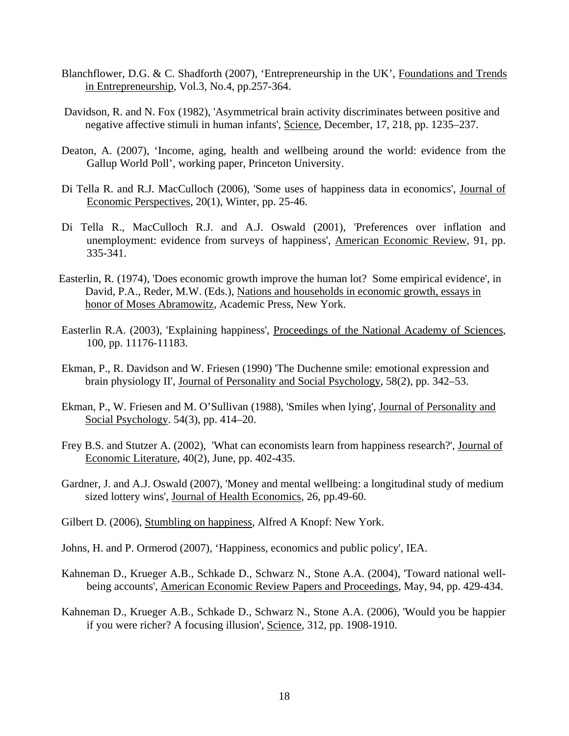- Blanchflower, D.G. & C. Shadforth (2007), 'Entrepreneurship in the UK', Foundations and Trends in Entrepreneurship, Vol.3, No.4, pp.257-364.
- Davidson, R. and N. Fox (1982), 'Asymmetrical brain activity discriminates between positive and negative affective stimuli in human infants', Science, December, 17, 218, pp. 1235–237.
- Deaton, A. (2007), 'Income, aging, health and wellbeing around the world: evidence from the Gallup World Poll', working paper, Princeton University.
- Di Tella R. and R.J. MacCulloch (2006), 'Some uses of happiness data in economics', Journal of Economic Perspectives, 20(1), Winter, pp. 25-46.
- Di Tella R., MacCulloch R.J. and A.J. Oswald (2001), 'Preferences over inflation and unemployment: evidence from surveys of happiness', American Economic Review, 91, pp. 335-341.
- Easterlin, R. (1974), 'Does economic growth improve the human lot? Some empirical evidence', in David, P.A., Reder, M.W. (Eds.), Nations and households in economic growth, essays in honor of Moses Abramowitz, Academic Press, New York.
- Easterlin R.A. (2003), 'Explaining happiness', Proceedings of the National Academy of Sciences, 100, pp. 11176-11183.
- Ekman, P., R. Davidson and W. Friesen (1990) 'The Duchenne smile: emotional expression and brain physiology II', Journal of Personality and Social Psychology, 58(2), pp. 342–53.
- Ekman, P., W. Friesen and M. O'Sullivan (1988), 'Smiles when lying', Journal of Personality and Social Psychology. 54(3), pp. 414–20.
- Frey B.S. and Stutzer A. (2002), 'What can economists learn from happiness research?', Journal of Economic Literature, 40(2), June, pp. 402-435.
- Gardner, J. and A.J. Oswald (2007), 'Money and mental wellbeing: a longitudinal study of medium sized lottery wins', Journal of Health Economics, 26, pp.49-60.
- Gilbert D. (2006), Stumbling on happiness, Alfred A Knopf: New York.
- Johns, H. and P. Ormerod (2007), 'Happiness, economics and public policy', IEA.
- Kahneman D., Krueger A.B., Schkade D., Schwarz N., Stone A.A. (2004), 'Toward national wellbeing accounts', American Economic Review Papers and Proceedings, May, 94, pp. 429-434.
- Kahneman D., Krueger A.B., Schkade D., Schwarz N., Stone A.A. (2006), 'Would you be happier if you were richer? A focusing illusion', Science, 312, pp. 1908-1910.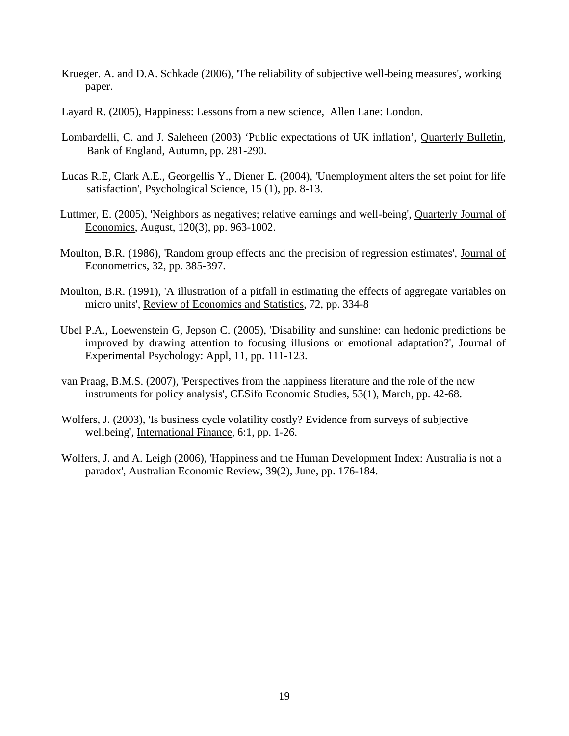- Krueger. A. and D.A. Schkade (2006), 'The reliability of subjective well-being measures', working paper.
- Layard R. (2005), Happiness: Lessons from a new science, Allen Lane: London.
- Lombardelli, C. and J. Saleheen (2003) 'Public expectations of UK inflation', Quarterly Bulletin, Bank of England, Autumn, pp. 281-290.
- Lucas R.E, Clark A.E., Georgellis Y., Diener E. (2004), 'Unemployment alters the set point for life satisfaction', Psychological Science, 15 (1), pp. 8-13.
- Luttmer, E. (2005), 'Neighbors as negatives; relative earnings and well-being', Quarterly Journal of Economics, August, 120(3), pp. 963-1002.
- Moulton, B.R. (1986), 'Random group effects and the precision of regression estimates', Journal of Econometrics, 32, pp. 385-397.
- Moulton, B.R. (1991), 'A illustration of a pitfall in estimating the effects of aggregate variables on micro units', Review of Economics and Statistics, 72, pp. 334-8
- Ubel P.A., Loewenstein G, Jepson C. (2005), 'Disability and sunshine: can hedonic predictions be improved by drawing attention to focusing illusions or emotional adaptation?', Journal of Experimental Psychology: Appl, 11, pp. 111-123.
- van Praag, B.M.S. (2007), 'Perspectives from the happiness literature and the role of the new instruments for policy analysis', CESifo Economic Studies, 53(1), March, pp. 42-68.
- Wolfers, J. (2003), 'Is business cycle volatility costly? Evidence from surveys of subjective wellbeing', International Finance, 6:1, pp. 1-26.
- Wolfers, J. and A. Leigh (2006), 'Happiness and the Human Development Index: Australia is not a paradox', Australian Economic Review, 39(2), June, pp. 176-184.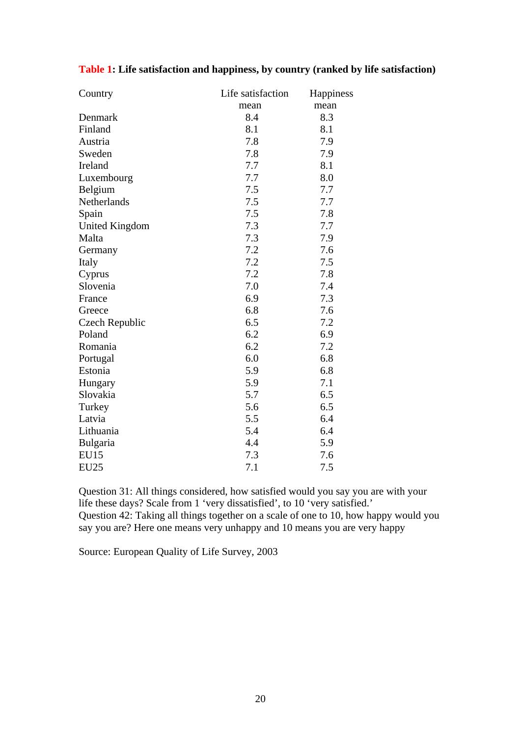| Country               | Life satisfaction<br>Happiness |      |
|-----------------------|--------------------------------|------|
|                       | mean                           | mean |
| Denmark               | 8.4                            | 8.3  |
| Finland               | 8.1                            | 8.1  |
| Austria               | 7.8                            | 7.9  |
| Sweden                | 7.8                            | 7.9  |
| Ireland               | 7.7                            | 8.1  |
| Luxembourg            | 7.7                            | 8.0  |
| Belgium               | 7.5                            | 7.7  |
| Netherlands           | 7.5                            | 7.7  |
| Spain                 | 7.5                            | 7.8  |
| <b>United Kingdom</b> | 7.3                            | 7.7  |
| Malta                 | 7.3                            | 7.9  |
| Germany               | 7.2                            | 7.6  |
| Italy                 | 7.2                            | 7.5  |
| Cyprus                | 7.2                            | 7.8  |
| Slovenia              | 7.0                            | 7.4  |
| France                | 6.9                            | 7.3  |
| Greece                | 6.8                            | 7.6  |
| Czech Republic        | 6.5                            | 7.2  |
| Poland                | 6.2                            | 6.9  |
| Romania               | 6.2                            | 7.2  |
| Portugal              | 6.0                            | 6.8  |
| Estonia               | 5.9                            | 6.8  |
| Hungary               | 5.9                            | 7.1  |
| Slovakia              | 5.7                            | 6.5  |
| Turkey                | 5.6                            | 6.5  |
| Latvia                | 5.5                            | 6.4  |
| Lithuania             | 5.4                            | 6.4  |
| Bulgaria              | 4.4                            | 5.9  |
| <b>EU15</b>           | 7.3                            | 7.6  |
| <b>EU25</b>           | 7.1                            | 7.5  |

## **Table 1: Life satisfaction and happiness, by country (ranked by life satisfaction)**

Question 31: All things considered, how satisfied would you say you are with your life these days? Scale from 1 'very dissatisfied', to 10 'very satisfied.' Question 42: Taking all things together on a scale of one to 10, how happy would you say you are? Here one means very unhappy and 10 means you are very happy

Source: European Quality of Life Survey, 2003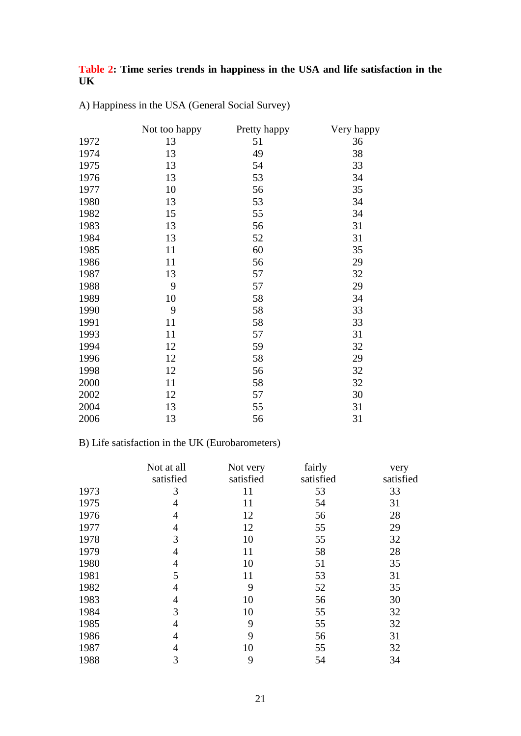## **Table 2: Time series trends in happiness in the USA and life satisfaction in the UK**

|      | Not too happy | Pretty happy | Very happy |
|------|---------------|--------------|------------|
| 1972 | 13            | 51           | 36         |
| 1974 | 13            | 49           | 38         |
| 1975 | 13            | 54           | 33         |
| 1976 | 13            | 53           | 34         |
| 1977 | 10            | 56           | 35         |
| 1980 | 13            | 53           | 34         |
| 1982 | 15            | 55           | 34         |
| 1983 | 13            | 56           | 31         |
| 1984 | 13            | 52           | 31         |
| 1985 | 11            | 60           | 35         |
| 1986 | 11            | 56           | 29         |
| 1987 | 13            | 57           | 32         |
| 1988 | 9             | 57           | 29         |
| 1989 | 10            | 58           | 34         |
| 1990 | 9             | 58           | 33         |
| 1991 | 11            | 58           | 33         |
| 1993 | 11            | 57           | 31         |
| 1994 | 12            | 59           | 32         |
| 1996 | 12            | 58           | 29         |
| 1998 | 12            | 56           | 32         |
| 2000 | 11            | 58           | 32         |
| 2002 | 12            | 57           | 30         |
| 2004 | 13            | 55           | 31         |
| 2006 | 13            | 56           | 31         |

A) Happiness in the USA (General Social Survey)

## B) Life satisfaction in the UK (Eurobarometers)

|      | Not at all | Not very  | fairly    | very      |
|------|------------|-----------|-----------|-----------|
|      | satisfied  | satisfied | satisfied | satisfied |
| 1973 | 3          | 11        | 53        | 33        |
| 1975 | 4          | 11        | 54        | 31        |
| 1976 | 4          | 12        | 56        | 28        |
| 1977 | 4          | 12        | 55        | 29        |
| 1978 | 3          | 10        | 55        | 32        |
| 1979 | 4          | 11        | 58        | 28        |
| 1980 | 4          | 10        | 51        | 35        |
| 1981 | 5          | 11        | 53        | 31        |
| 1982 | 4          | 9         | 52        | 35        |
| 1983 | 4          | 10        | 56        | 30        |
| 1984 | 3          | 10        | 55        | 32        |
| 1985 | 4          | 9         | 55        | 32        |
| 1986 | 4          | 9         | 56        | 31        |
| 1987 | 4          | 10        | 55        | 32        |
| 1988 | 3          | 9         | 54        | 34        |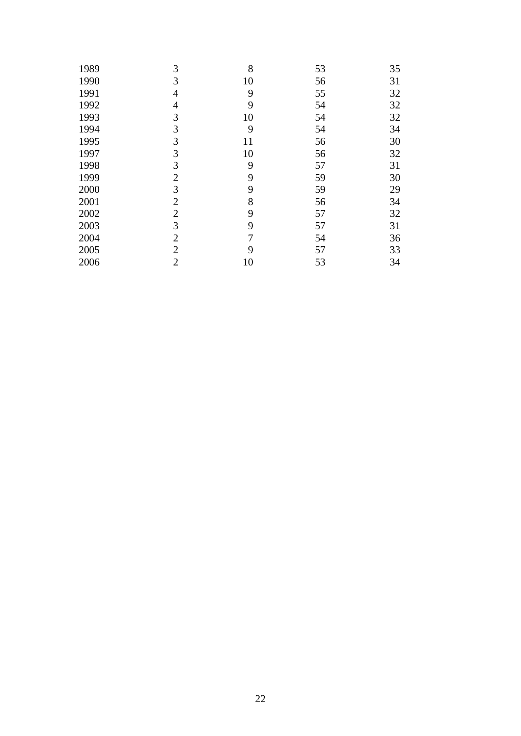| 1989 | 3              | 8  | 53 | 35 |
|------|----------------|----|----|----|
| 1990 | 3              | 10 | 56 | 31 |
| 1991 | $\overline{4}$ | 9  | 55 | 32 |
| 1992 | $\overline{4}$ | 9  | 54 | 32 |
| 1993 | 3              | 10 | 54 | 32 |
| 1994 | 3              | 9  | 54 | 34 |
| 1995 | 3              | 11 | 56 | 30 |
| 1997 | 3              | 10 | 56 | 32 |
| 1998 | 3              | 9  | 57 | 31 |
| 1999 | $\overline{2}$ | 9  | 59 | 30 |
| 2000 | 3              | 9  | 59 | 29 |
| 2001 | $\overline{2}$ | 8  | 56 | 34 |
| 2002 | $\overline{2}$ | 9  | 57 | 32 |
| 2003 | 3              | 9  | 57 | 31 |
| 2004 | $\overline{2}$ | 7  | 54 | 36 |
| 2005 | $\overline{2}$ | 9  | 57 | 33 |
| 2006 | $\overline{2}$ | 10 | 53 | 34 |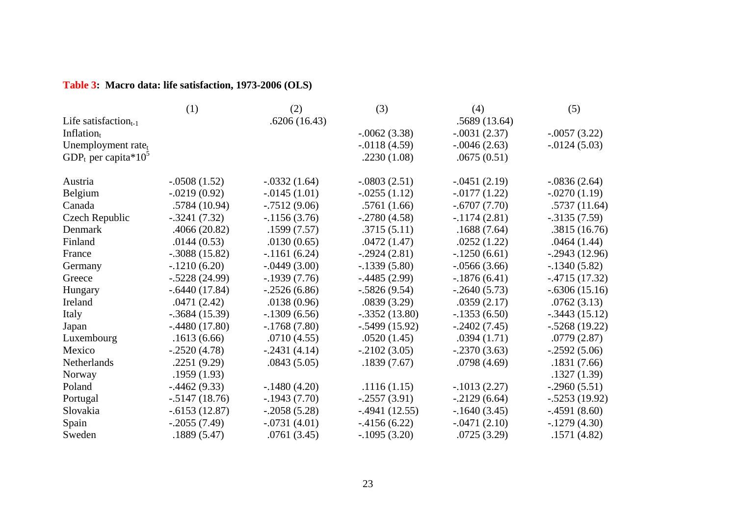## **Table 3: Macro data: life satisfaction, 1973-2006 (OLS)**

|                                             | (1)              | (2)             | (3)             | (4)             | (5)             |
|---------------------------------------------|------------------|-----------------|-----------------|-----------------|-----------------|
| Life satisfaction $_{t-1}$                  |                  | .6206(16.43)    |                 | .5689(13.64)    |                 |
| Inflation $t$                               |                  |                 | $-.0062(3.38)$  | $-.0031(2.37)$  | $-.0057(3.22)$  |
| Unemployment rate <sub>t</sub>              |                  |                 | $-0.0118(4.59)$ | $-.0046(2.63)$  | $-0.0124(5.03)$ |
| GDP <sub>t</sub> per capita*10 <sup>5</sup> |                  |                 | .2230(1.08)     | .0675(0.51)     |                 |
| Austria                                     | $-.0508(1.52)$   | $-.0332(1.64)$  | $-.0803(2.51)$  | $-.0451(2.19)$  | $-.0836(2.64)$  |
| Belgium                                     | $-.0219(0.92)$   | $-0.0145(1.01)$ | $-.0255(1.12)$  | $-0.0177(1.22)$ | $-.0270(1.19)$  |
| Canada                                      | .5784(10.94)     | $-.7512(9.06)$  | .5761(1.66)     | $-.6707(7.70)$  | .5737(11.64)    |
| <b>Czech Republic</b>                       | $-.3241(7.32)$   | $-1156(3.76)$   | $-.2780(4.58)$  | $-.1174(2.81)$  | $-.3135(7.59)$  |
| Denmark                                     | .4066(20.82)     | .1599(7.57)     | .3715(5.11)     | .1688(7.64)     | .3815(16.76)    |
| Finland                                     | .0144(0.53)      | .0130(0.65)     | .0472(1.47)     | .0252(1.22)     | .0464(1.44)     |
| France                                      | $-.3088(15.82)$  | $-1161(6.24)$   | $-.2924(2.81)$  | $-.1250(6.61)$  | $-.2943(12.96)$ |
| Germany                                     | $-.1210(6.20)$   | $-.0449(3.00)$  | $-1339(5.80)$   | $-.0566(3.66)$  | $-.1340(5.82)$  |
| Greece                                      | $-.5228(24.99)$  | $-1939(7.76)$   | $-.4485(2.99)$  | $-1876(6.41)$   | $-.4715(17.32)$ |
| Hungary                                     | $-.6440(17.84)$  | $-0.2526(6.86)$ | $-.5826(9.54)$  | $-.2640(5.73)$  | $-.6306(15.16)$ |
| Ireland                                     | .0471(2.42)      | .0138(0.96)     | .0839(3.29)     | .0359(2.17)     | .0762(3.13)     |
| Italy                                       | $-.3684(15.39)$  | $-1309(6.56)$   | $-.3352(13.80)$ | $-.1353(6.50)$  | $-.3443(15.12)$ |
| Japan                                       | $-.4480(17.80)$  | $-.1768(7.80)$  | $-.5499(15.92)$ | $-.2402(7.45)$  | $-.5268(19.22)$ |
| Luxembourg                                  | .1613(6.66)      | .0710(4.55)     | .0520(1.45)     | .0394(1.71)     | .0779(2.87)     |
| Mexico                                      | $-.2520(4.78)$   | $-.2431(4.14)$  | $-.2102(3.05)$  | $-.2370(3.63)$  | $-.2592(5.06)$  |
| Netherlands                                 | .2251(9.29)      | .0843(5.05)     | .1839(7.67)     | .0798(4.69)     | .1831(7.66)     |
| Norway                                      | .1959(1.93)      |                 |                 |                 | .1327(1.39)     |
| Poland                                      | $-0.4462(9.33)$  | $-.1480(4.20)$  | .1116(1.15)     | $-.1013(2.27)$  | $-.2960(5.51)$  |
| Portugal                                    | $-0.5147(18.76)$ | $-1943(7.70)$   | $-.2557(3.91)$  | $-.2129(6.64)$  | $-.5253(19.92)$ |
| Slovakia                                    | $-.6153(12.87)$  | $-.2058(5.28)$  | $-.4941(12.55)$ | $-1640(3.45)$   | $-.4591(8.60)$  |
| Spain                                       | $-.2055(7.49)$   | $-.0731(4.01)$  | $-4156(6.22)$   | $-.0471(2.10)$  | $-.1279(4.30)$  |
| Sweden                                      | .1889(5.47)      | .0761(3.45)     | $-.1095(3.20)$  | .0725(3.29)     | .1571(4.82)     |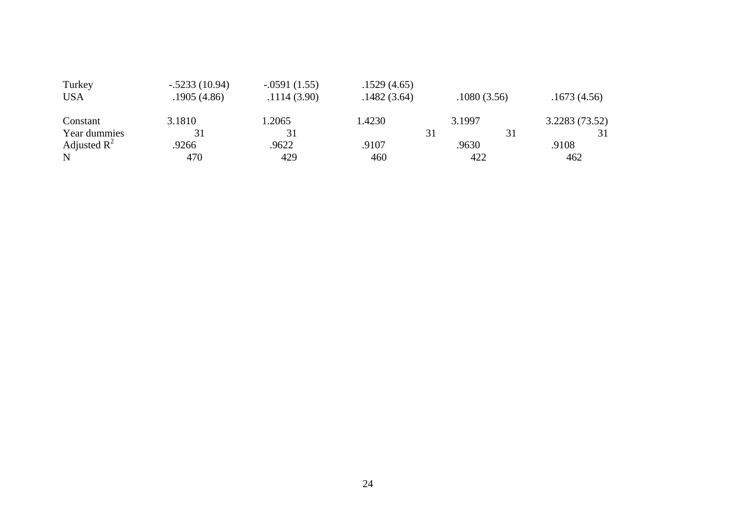| Turkey         | $-.5233(10.94)$ | $-.0591(1.55)$ | .1529(4.65) |             |               |
|----------------|-----------------|----------------|-------------|-------------|---------------|
| <b>USA</b>     | .1905(4.86)     | .1114(3.90)    | .1482(3.64) | .1080(3.56) | .1673(4.56)   |
| Constant       | 3.1810          | .2065          | 1.4230      | 3.1997      | 3.2283(73.52) |
| Year dummies   |                 |                |             | 31          | 31            |
| Adjusted $R^2$ | .9266           | .9622          | .9107       | .9630       | .9108         |
| N              | 470             | 429            | 460         | 422         | 462           |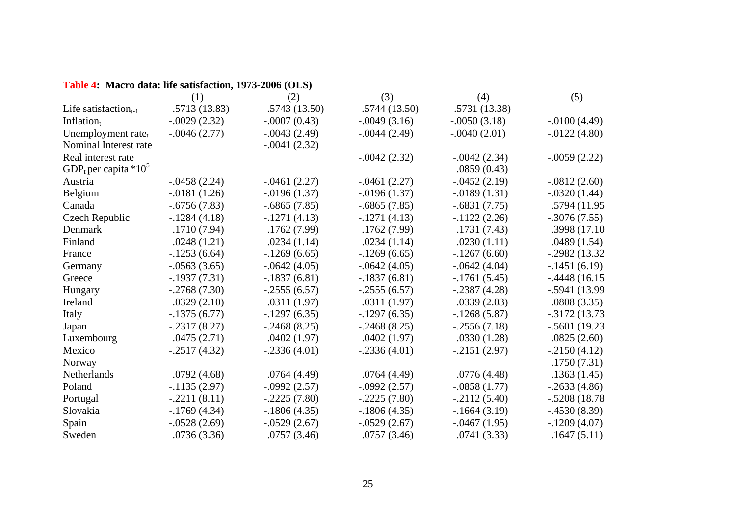## **Table 4: Macro data: life satisfaction, 1973-2006 (OLS)**

|                                              | (1)            | (2)             | (3)             | (4)             | (5)              |
|----------------------------------------------|----------------|-----------------|-----------------|-----------------|------------------|
| Life satisfaction $_{t-1}$                   | .5713(13.83)   | .5743(13.50)    | .5744(13.50)    | .5731 (13.38)   |                  |
| Inflation $t$                                | $-.0029(2.32)$ | $-.0007(0.43)$  | $-.0049(3.16)$  | $-.0050(3.18)$  | $-.0100(4.49)$   |
| Unemployment rate <sub>t</sub>               | $-.0046(2.77)$ | $-.0043(2.49)$  | $-0.0044(2.49)$ | $-.0040(2.01)$  | $-0.0122(4.80)$  |
| Nominal Interest rate                        |                | $-.0041(2.32)$  |                 |                 |                  |
| Real interest rate                           |                |                 | $-0.0042(2.32)$ | $-.0042(2.34)$  | $-.0059(2.22)$   |
| GDP <sub>t</sub> per capita *10 <sup>5</sup> |                |                 |                 | .0859(0.43)     |                  |
| Austria                                      | $-.0458(2.24)$ | $-.0461(2.27)$  | $-.0461(2.27)$  | $-.0452(2.19)$  | $-.0812(2.60)$   |
| Belgium                                      | $-.0181(1.26)$ | $-0.0196(1.37)$ | $-0.0196(1.37)$ | $-0.0189(1.31)$ | $-.0320(1.44)$   |
| Canada                                       | $-.6756(7.83)$ | $-.6865(7.85)$  | $-.6865(7.85)$  | $-.6831(7.75)$  | .5794 (11.95)    |
| Czech Republic                               | $-.1284(4.18)$ | $-.1271(4.13)$  | $-.1271(4.13)$  | $-1122(2.26)$   | $-.3076(7.55)$   |
| Denmark                                      | .1710(7.94)    | .1762(7.99)     | .1762(7.99)     | .1731(7.43)     | .3998 (17.10)    |
| Finland                                      | .0248(1.21)    | .0234(1.14)     | .0234(1.14)     | .0230(1.11)     | .0489(1.54)      |
| France                                       | $-.1253(6.64)$ | $-1269(6.65)$   | $-1269(6.65)$   | $-1267(6.60)$   | $-.2982(13.32)$  |
| Germany                                      | $-.0563(3.65)$ | $-.0642(4.05)$  | $-.0642(4.05)$  | $-.0642(4.04)$  | $-.1451(6.19)$   |
| Greece                                       | $-.1937(7.31)$ | $-.1837(6.81)$  | $-.1837(6.81)$  | $-.1761(5.45)$  | $-.4448(16.15)$  |
| Hungary                                      | $-.2768(7.30)$ | $-.2555(6.57)$  | $-.2555(6.57)$  | $-.2387(4.28)$  | $-.5941(13.99)$  |
| Ireland                                      | .0329(2.10)    | .0311(1.97)     | .0311(1.97)     | .0339(2.03)     | .0808(3.35)      |
| Italy                                        | $-1375(6.77)$  | $-.1297(6.35)$  | $-.1297(6.35)$  | $-.1268(5.87)$  | $-0.3172(13.73)$ |
| Japan                                        | $-.2317(8.27)$ | $-.2468(8.25)$  | $-.2468(8.25)$  | $-.2556(7.18)$  | $-.5601(19.23)$  |
| Luxembourg                                   | .0475(2.71)    | .0402(1.97)     | .0402(1.97)     | .0330(1.28)     | .0825(2.60)      |
| Mexico                                       | $-.2517(4.32)$ | $-.2336(4.01)$  | $-.2336(4.01)$  | $-.2151(2.97)$  | $-.2150(4.12)$   |
| Norway                                       |                |                 |                 |                 | .1750(7.31)      |
| Netherlands                                  | .0792(4.68)    | .0764(4.49)     | .0764(4.49)     | .0776(4.48)     | .1363(1.45)      |
| Poland                                       | $-1135(2.97)$  | $-.0992(2.57)$  | $-.0992(2.57)$  | $-.0858(1.77)$  | $-.2633(4.86)$   |
| Portugal                                     | $-.2211(8.11)$ | $-.2225(7.80)$  | $-.2225(7.80)$  | $-.2112(5.40)$  | $-.5208(18.78)$  |
| Slovakia                                     | $-1769(4.34)$  | $-1806(4.35)$   | $-1806(4.35)$   | $-1664(3.19)$   | $-.4530(8.39)$   |
| Spain                                        | $-.0528(2.69)$ | $-.0529(2.67)$  | $-.0529(2.67)$  | $-.0467(1.95)$  | $-.1209(4.07)$   |
| Sweden                                       | .0736(3.36)    | .0757(3.46)     | .0757(3.46)     | .0741(3.33)     | .1647(5.11)      |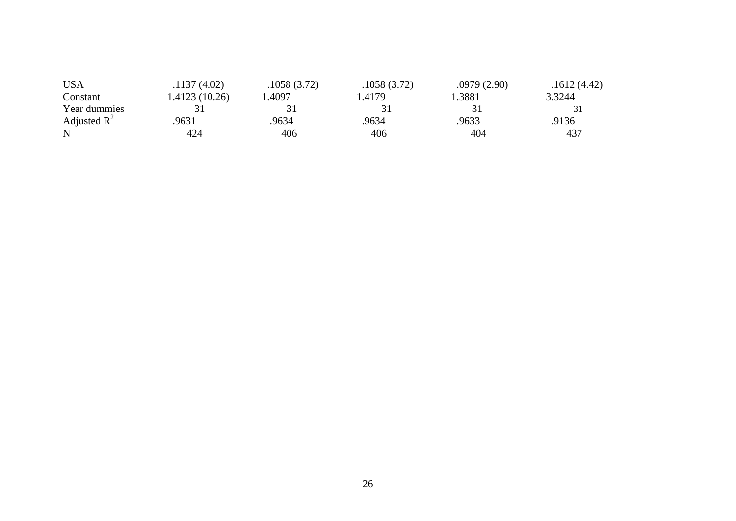| <b>USA</b>     | .1137(4.02)   | .1058(3.72) | .1058(3.72) | .0979(2.90) | .1612(4.42) |
|----------------|---------------|-------------|-------------|-------------|-------------|
| Constant       | 1.4123(10.26) | .4097       | .4179       | 1.3881      | 3.3244      |
| Year dummies   |               |             |             |             |             |
| Adjusted $R^2$ | 9631          | 9634        | .9634       | .9633       | .9136       |
| N              | 424           | 406         | 406         | 404         | 437         |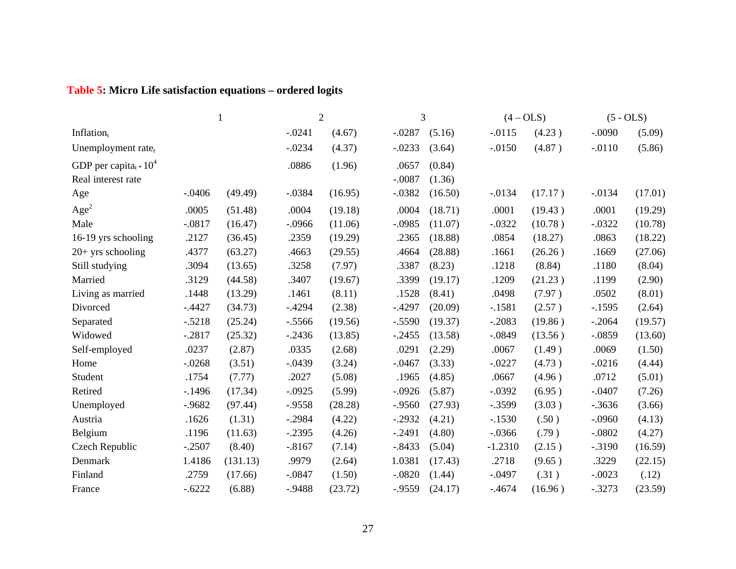# **Table 5: Micro Life satisfaction equations – ordered logits**

|                                            |          | $\overline{2}$ |          |         | 3         |         | $(4 - OLS)$ |         | $(5 - OLS)$ |         |
|--------------------------------------------|----------|----------------|----------|---------|-----------|---------|-------------|---------|-------------|---------|
| Inflation $t$                              |          |                | $-.0241$ | (4.67)  | $-.0287$  | (5.16)  | $-.0115$    | (4.23)  | $-.0090$    | (5.09)  |
| Unemployment rate <sub>t</sub>             |          |                | $-.0234$ | (4.37)  | $-.0233$  | (3.64)  | $-.0150$    | (4.87)  | $-.0110$    | (5.86)  |
| GDP per capita <sub>t</sub> $\approx 10^4$ |          |                | .0886    | (1.96)  | .0657     | (0.84)  |             |         |             |         |
| Real interest rate                         |          |                |          |         | $-.0087$  | (1.36)  |             |         |             |         |
| Age                                        | $-.0406$ | (49.49)        | $-.0384$ | (16.95) | $-.0382$  | (16.50) | $-.0134$    | (17.17) | $-.0134$    | (17.01) |
| Age <sup>2</sup>                           | .0005    | (51.48)        | .0004    | (19.18) | .0004     | (18.71) | .0001       | (19.43) | .0001       | (19.29) |
| Male                                       | $-.0817$ | (16.47)        | $-.0966$ | (11.06) | $-.0985$  | (11.07) | $-.0322$    | (10.78) | $-.0322$    | (10.78) |
| 16-19 yrs schooling                        | .2127    | (36.45)        | .2359    | (19.29) | .2365     | (18.88) | .0854       | (18.27) | .0863       | (18.22) |
| $20+$ yrs schooling                        | .4377    | (63.27)        | .4663    | (29.55) | .4664     | (28.88) | .1661       | (26.26) | .1669       | (27.06) |
| Still studying                             | .3094    | (13.65)        | .3258    | (7.97)  | .3387     | (8.23)  | .1218       | (8.84)  | .1180       | (8.04)  |
| Married                                    | .3129    | (44.58)        | .3407    | (19.67) | .3399     | (19.17) | .1209       | (21.23) | .1199       | (2.90)  |
| Living as married                          | .1448    | (13.29)        | .1461    | (8.11)  | .1528     | (8.41)  | .0498       | (7.97)  | .0502       | (8.01)  |
| Divorced                                   | $-.4427$ | (34.73)        | $-.4294$ | (2.38)  | $-.4297$  | (20.09) | $-.1581$    | (2.57)  | $-1595$     | (2.64)  |
| Separated                                  | $-.5218$ | (25.24)        | $-.5566$ | (19.56) | $-.5590$  | (19.37) | $-.2083$    | (19.86) | $-.2064$    | (19.57) |
| Widowed                                    | $-.2817$ | (25.32)        | $-.2436$ | (13.85) | $-.2455$  | (13.58) | $-.0849$    | (13.56) | $-.0859$    | (13.60) |
| Self-employed                              | .0237    | (2.87)         | .0335    | (2.68)  | .0291     | (2.29)  | .0067       | (1.49)  | .0069       | (1.50)  |
| Home                                       | $-.0268$ | (3.51)         | $-.0439$ | (3.24)  | $-.0467$  | (3.33)  | $-.0227$    | (4.73)  | $-.0216$    | (4.44)  |
| Student                                    | .1754    | (7.77)         | .2027    | (5.08)  | .1965     | (4.85)  | .0667       | (4.96)  | .0712       | (5.01)  |
| Retired                                    | $-1496$  | (17.34)        | $-.0925$ | (5.99)  | $-.0926$  | (5.87)  | $-.0392$    | (6.95)  | $-.0407$    | (7.26)  |
| Unemployed                                 | $-.9682$ | (97.44)        | $-.9558$ | (28.28) | $-.9560$  | (27.93) | $-.3599$    | (3.03)  | $-0.3636$   | (3.66)  |
| Austria                                    | .1626    | (1.31)         | $-.2984$ | (4.22)  | $-.2932$  | (4.21)  | $-.1530$    | (.50)   | $-.0960$    | (4.13)  |
| Belgium                                    | .1196    | (11.63)        | $-.2395$ | (4.26)  | $-.2491$  | (4.80)  | $-.0366$    | (.79)   | $-.0802$    | (4.27)  |
| Czech Republic                             | $-.2507$ | (8.40)         | $-.8167$ | (7.14)  | $-.8433$  | (5.04)  | $-1.2310$   | (2.15)  | $-.3190$    | (16.59) |
| Denmark                                    | 1.4186   | (131.13)       | .9979    | (2.64)  | 1.0381    | (17.43) | .2718       | (9.65)  | .3229       | (22.15) |
| Finland                                    | .2759    | (17.66)        | $-.0847$ | (1.50)  | $-.0820$  | (1.44)  | $-.0497$    | (.31)   | $-.0023$    | (.12)   |
| France                                     | $-.6222$ | (6.88)         | $-.9488$ | (23.72) | $-0.9559$ | (24.17) | $-.4674$    | (16.96) | $-.3273$    | (23.59) |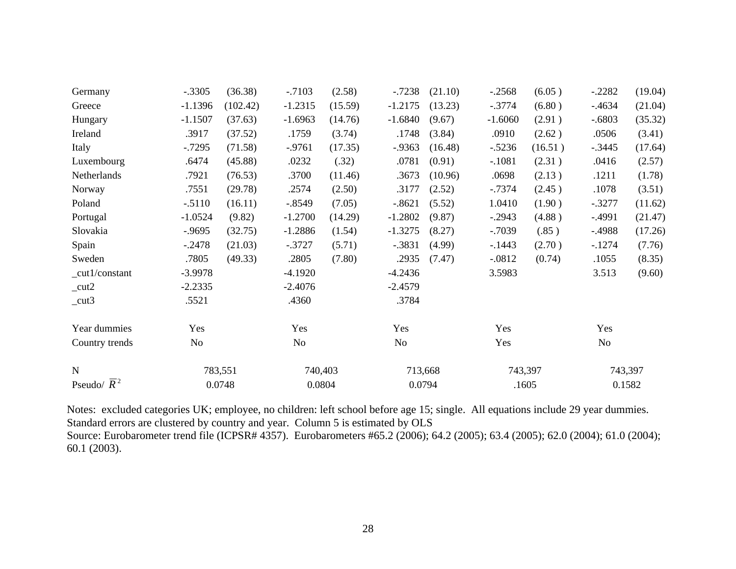| Germany                  | $-.3305$  | (36.38)  | $-.7103$  | (2.58)  | $-.7238$  | (21.10) | $-.2568$  | (6.05)  | $-.2282$  | (19.04) |
|--------------------------|-----------|----------|-----------|---------|-----------|---------|-----------|---------|-----------|---------|
| Greece                   | $-1.1396$ | (102.42) | $-1.2315$ | (15.59) | $-1.2175$ | (13.23) | $-.3774$  | (6.80)  | $-0.4634$ | (21.04) |
| Hungary                  | $-1.1507$ | (37.63)  | $-1.6963$ | (14.76) | $-1.6840$ | (9.67)  | $-1.6060$ | (2.91)  | $-.6803$  | (35.32) |
| Ireland                  | .3917     | (37.52)  | .1759     | (3.74)  | .1748     | (3.84)  | .0910     | (2.62)  | .0506     | (3.41)  |
| Italy                    | $-0.7295$ | (71.58)  | $-.9761$  | (17.35) | $-0.9363$ | (16.48) | $-.5236$  | (16.51) | $-.3445$  | (17.64) |
| Luxembourg               | .6474     | (45.88)  | .0232     | (.32)   | .0781     | (0.91)  | $-.1081$  | (2.31)  | .0416     | (2.57)  |
| Netherlands              | .7921     | (76.53)  | .3700     | (11.46) | .3673     | (10.96) | .0698     | (2.13)  | .1211     | (1.78)  |
| Norway                   | .7551     | (29.78)  | .2574     | (2.50)  | .3177     | (2.52)  | $-0.7374$ | (2.45)  | .1078     | (3.51)  |
| Poland                   | $-.5110$  | (16.11)  | $-.8549$  | (7.05)  | $-.8621$  | (5.52)  | 1.0410    | (1.90)  | $-.3277$  | (11.62) |
| Portugal                 | $-1.0524$ | (9.82)   | $-1.2700$ | (14.29) | $-1.2802$ | (9.87)  | $-.2943$  | (4.88)  | $-.4991$  | (21.47) |
| Slovakia                 | $-0.9695$ | (32.75)  | $-1.2886$ | (1.54)  | $-1.3275$ | (8.27)  | $-.7039$  | (.85)   | $-.4988$  | (17.26) |
| Spain                    | $-.2478$  | (21.03)  | $-.3727$  | (5.71)  | $-.3831$  | (4.99)  | $-1443$   | (2.70)  | $-.1274$  | (7.76)  |
| Sweden                   | .7805     | (49.33)  | .2805     | (7.80)  | .2935     | (7.47)  | $-.0812$  | (0.74)  | .1055     | (8.35)  |
| _cut1/constant           | $-3.9978$ |          | $-4.1920$ |         | $-4.2436$ |         | 3.5983    |         | 3.513     | (9.60)  |
| $_{\text{cut2}}$         | $-2.2335$ |          | $-2.4076$ |         | $-2.4579$ |         |           |         |           |         |
| $_{cut3}$                | .5521     |          | .4360     |         | .3784     |         |           |         |           |         |
| Year dummies             | Yes       |          | Yes       |         | Yes       |         | Yes       |         | Yes       |         |
| Country trends           | No        |          | No        |         | No        |         | Yes       |         | No        |         |
| $\mathbf N$              |           | 783,551  | 740,403   |         |           | 713,668 |           | 743,397 |           | 743,397 |
| Pseudo/ $\overline{R}^2$ |           | 0.0748   | 0.0804    |         |           | 0.0794  |           | .1605   |           | 0.1582  |

Notes: excluded categories UK; employee, no children: left school before age 15; single. All equations include 29 year dummies. Standard errors are clustered by country and year. Column 5 is estimated by OLS Source: Eurobarometer trend file (ICPSR# 4357). Eurobarometers #65.2 (2006); 64.2 (2005); 63.4 (2005); 62.0 (2004); 61.0 (2004); 60.1 (2003).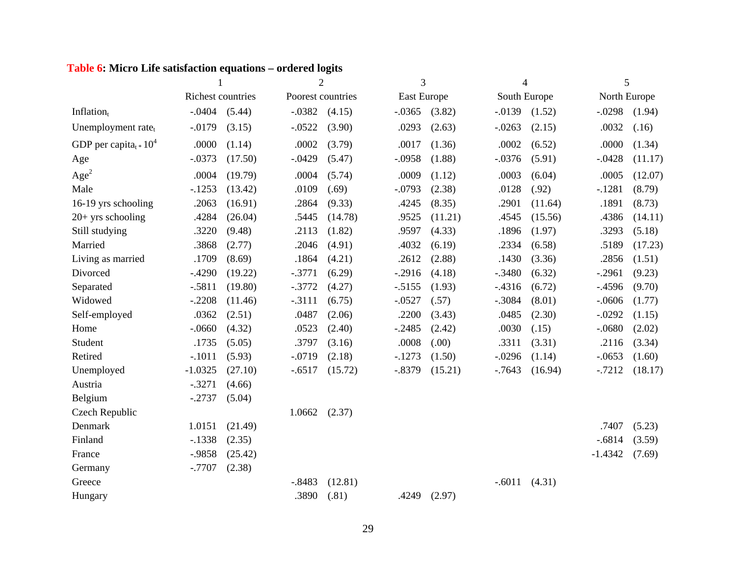# **Table 6: Micro Life satisfaction equations – ordered logits**

|                                            | $\mathbf{1}$      |         |          | $\overline{2}$    | 3           |         | $\overline{4}$ |         | 5            |         |
|--------------------------------------------|-------------------|---------|----------|-------------------|-------------|---------|----------------|---------|--------------|---------|
|                                            | Richest countries |         |          | Poorest countries | East Europe |         | South Europe   |         | North Europe |         |
| Inflation <sub>t</sub>                     | $-.0404$          | (5.44)  | $-.0382$ | (4.15)            | $-.0365$    | (3.82)  | $-.0139$       | (1.52)  | $-.0298$     | (1.94)  |
| Unemployment rate <sub>t</sub>             | $-0.0179$         | (3.15)  | $-.0522$ | (3.90)            | .0293       | (2.63)  | $-.0263$       | (2.15)  | .0032        | (.16)   |
| GDP per capita <sub>t</sub> $\approx 10^4$ | .0000             | (1.14)  | .0002    | (3.79)            | .0017       | (1.36)  | .0002          | (6.52)  | .0000        | (1.34)  |
| Age                                        | $-.0373$          | (17.50) | $-.0429$ | (5.47)            | $-.0958$    | (1.88)  | $-.0376$       | (5.91)  | $-.0428$     | (11.17) |
| Age <sup>2</sup>                           | .0004             | (19.79) | .0004    | (5.74)            | .0009       | (1.12)  | .0003          | (6.04)  | .0005        | (12.07) |
| Male                                       | $-.1253$          | (13.42) | .0109    | (.69)             | $-.0793$    | (2.38)  | .0128          | (.92)   | $-.1281$     | (8.79)  |
| 16-19 yrs schooling                        | .2063             | (16.91) | .2864    | (9.33)            | .4245       | (8.35)  | .2901          | (11.64) | .1891        | (8.73)  |
| $20+$ yrs schooling                        | .4284             | (26.04) | .5445    | (14.78)           | .9525       | (11.21) | .4545          | (15.56) | .4386        | (14.11) |
| Still studying                             | .3220             | (9.48)  | .2113    | (1.82)            | .9597       | (4.33)  | .1896          | (1.97)  | .3293        | (5.18)  |
| Married                                    | .3868             | (2.77)  | .2046    | (4.91)            | .4032       | (6.19)  | .2334          | (6.58)  | .5189        | (17.23) |
| Living as married                          | .1709             | (8.69)  | .1864    | (4.21)            | .2612       | (2.88)  | .1430          | (3.36)  | .2856        | (1.51)  |
| Divorced                                   | $-.4290$          | (19.22) | $-.3771$ | (6.29)            | $-.2916$    | (4.18)  | $-.3480$       | (6.32)  | $-.2961$     | (9.23)  |
| Separated                                  | $-.5811$          | (19.80) | $-.3772$ | (4.27)            | $-.5155$    | (1.93)  | $-4316$        | (6.72)  | $-0.4596$    | (9.70)  |
| Widowed                                    | $-.2208$          | (11.46) | $-.3111$ | (6.75)            | $-.0527$    | (.57)   | $-.3084$       | (8.01)  | $-.0606$     | (1.77)  |
| Self-employed                              | .0362             | (2.51)  | .0487    | (2.06)            | .2200       | (3.43)  | .0485          | (2.30)  | $-.0292$     | (1.15)  |
| Home                                       | $-.0660$          | (4.32)  | .0523    | (2.40)            | $-.2485$    | (2.42)  | .0030          | (.15)   | $-.0680$     | (2.02)  |
| Student                                    | .1735             | (5.05)  | .3797    | (3.16)            | .0008       | (.00)   | .3311          | (3.31)  | .2116        | (3.34)  |
| Retired                                    | $-.1011$          | (5.93)  | $-.0719$ | (2.18)            | $-.1273$    | (1.50)  | $-.0296$       | (1.14)  | $-.0653$     | (1.60)  |
| Unemployed                                 | $-1.0325$         | (27.10) | $-.6517$ | (15.72)           | $-.8379$    | (15.21) | $-0.7643$      | (16.94) | $-.7212$     | (18.17) |
| Austria                                    | $-.3271$          | (4.66)  |          |                   |             |         |                |         |              |         |
| Belgium                                    | $-.2737$          | (5.04)  |          |                   |             |         |                |         |              |         |
| Czech Republic                             |                   |         | 1.0662   | (2.37)            |             |         |                |         |              |         |
| Denmark                                    | 1.0151            | (21.49) |          |                   |             |         |                |         | .7407        | (5.23)  |
| Finland                                    | $-.1338$          | (2.35)  |          |                   |             |         |                |         | $-.6814$     | (3.59)  |
| France                                     | $-.9858$          | (25.42) |          |                   |             |         |                |         | $-1.4342$    | (7.69)  |
| Germany                                    | $-.7707$          | (2.38)  |          |                   |             |         |                |         |              |         |
| Greece                                     |                   |         | $-.8483$ | (12.81)           |             |         | $-.6011$       | (4.31)  |              |         |
| Hungary                                    |                   |         | .3890    | (.81)             | .4249       | (2.97)  |                |         |              |         |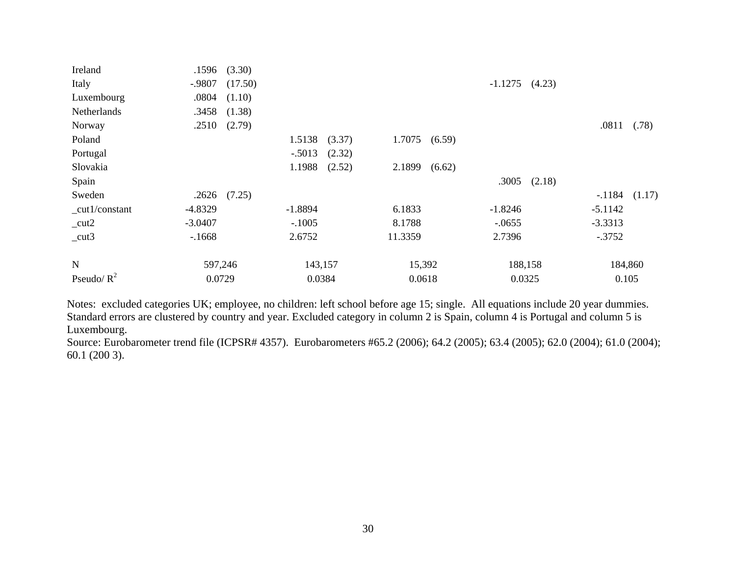| Ireland            | .1596            | (3.30)  |           |        |         |        |                  |         |           |                   |
|--------------------|------------------|---------|-----------|--------|---------|--------|------------------|---------|-----------|-------------------|
| Italy              | $-.9807$         | (17.50) |           |        |         |        | $-1.1275$ (4.23) |         |           |                   |
| Luxembourg         | .0804            | (1.10)  |           |        |         |        |                  |         |           |                   |
| <b>Netherlands</b> | $.3458$ $(1.38)$ |         |           |        |         |        |                  |         |           |                   |
| Norway             | .2510            | (2.79)  |           |        |         |        |                  |         | .0811     | (.78)             |
| Poland             |                  |         | 1.5138    | (3.37) | 1.7075  | (6.59) |                  |         |           |                   |
| Portugal           |                  |         | $-.5013$  | (2.32) |         |        |                  |         |           |                   |
| Slovakia           |                  |         | 1.1988    | (2.52) | 2.1899  | (6.62) |                  |         |           |                   |
| Spain              |                  |         |           |        |         |        | .3005            | (2.18)  |           |                   |
| Sweden             | .2626            | (7.25)  |           |        |         |        |                  |         |           | $-.1184$ $(1.17)$ |
| $-cut1/constant$   | $-4.8329$        |         | $-1.8894$ |        | 6.1833  |        | $-1.8246$        |         | $-5.1142$ |                   |
| $_{\text{cut2}}$   | $-3.0407$        |         | $-.1005$  |        | 8.1788  |        | $-.0655$         |         | $-3.3313$ |                   |
| $_{cut3}$          | $-1668$          |         | 2.6752    |        | 11.3359 |        | 2.7396           |         | $-.3752$  |                   |
| $\mathbf N$        | 597,246          |         | 143,157   |        | 15,392  |        |                  | 188,158 |           | 184,860           |
| Pseudo/ $R^2$      | 0.0729           |         | 0.0384    |        | 0.0618  |        | 0.0325           |         | 0.105     |                   |

Notes: excluded categories UK; employee, no children: left school before age 15; single. All equations include 20 year dummies. Standard errors are clustered by country and year. Excluded category in column 2 is Spain, column 4 is Portugal and column 5 is Luxembourg.

Source: Eurobarometer trend file (ICPSR# 4357). Eurobarometers #65.2 (2006); 64.2 (2005); 63.4 (2005); 62.0 (2004); 61.0 (2004); 60.1 (200 3).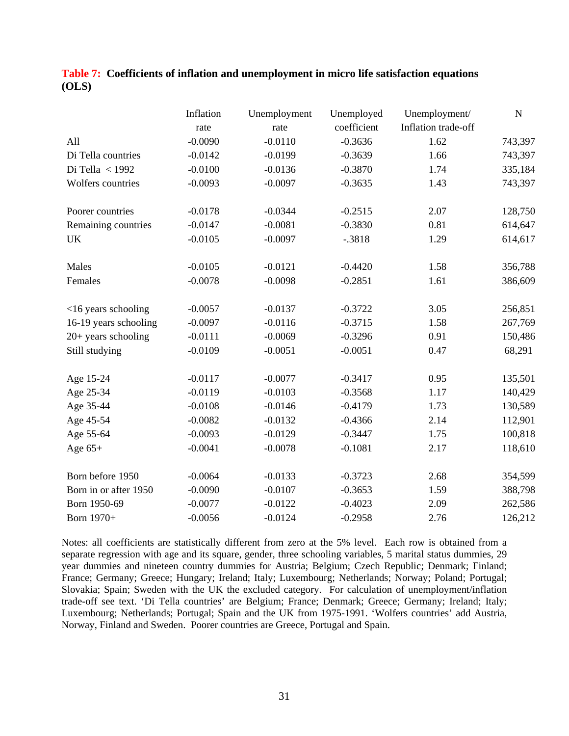|                       | Inflation | Unemployment | Unemployed  | Unemployment/       | $\mathbf N$ |
|-----------------------|-----------|--------------|-------------|---------------------|-------------|
|                       | rate      | rate         | coefficient | Inflation trade-off |             |
| All                   | $-0.0090$ | $-0.0110$    | $-0.3636$   | 1.62                | 743,397     |
| Di Tella countries    | $-0.0142$ | $-0.0199$    | $-0.3639$   | 1.66                | 743,397     |
| Di Tella < 1992       | $-0.0100$ | $-0.0136$    | $-0.3870$   | 1.74                | 335,184     |
| Wolfers countries     | $-0.0093$ | $-0.0097$    | $-0.3635$   | 1.43                | 743,397     |
| Poorer countries      | $-0.0178$ | $-0.0344$    | $-0.2515$   | 2.07                | 128,750     |
| Remaining countries   | $-0.0147$ | $-0.0081$    | $-0.3830$   | 0.81                | 614,647     |
| <b>UK</b>             | $-0.0105$ | $-0.0097$    | $-.3818$    | 1.29                | 614,617     |
| Males                 | $-0.0105$ | $-0.0121$    | $-0.4420$   | 1.58                | 356,788     |
| Females               | $-0.0078$ | $-0.0098$    | $-0.2851$   | 1.61                | 386,609     |
| $<16$ years schooling | $-0.0057$ | $-0.0137$    | $-0.3722$   | 3.05                | 256,851     |
| 16-19 years schooling | $-0.0097$ | $-0.0116$    | $-0.3715$   | 1.58                | 267,769     |
| $20+$ years schooling | $-0.0111$ | $-0.0069$    | $-0.3296$   | 0.91                | 150,486     |
| Still studying        | $-0.0109$ | $-0.0051$    | $-0.0051$   | 0.47                | 68,291      |
| Age 15-24             | $-0.0117$ | $-0.0077$    | $-0.3417$   | 0.95                | 135,501     |
| Age 25-34             | $-0.0119$ | $-0.0103$    | $-0.3568$   | 1.17                | 140,429     |
| Age 35-44             | $-0.0108$ | $-0.0146$    | $-0.4179$   | 1.73                | 130,589     |
| Age 45-54             | $-0.0082$ | $-0.0132$    | $-0.4366$   | 2.14                | 112,901     |
| Age 55-64             | $-0.0093$ | $-0.0129$    | $-0.3447$   | 1.75                | 100,818     |
| Age $65+$             | $-0.0041$ | $-0.0078$    | $-0.1081$   | 2.17                | 118,610     |
| Born before 1950      | $-0.0064$ | $-0.0133$    | $-0.3723$   | 2.68                | 354,599     |
| Born in or after 1950 | $-0.0090$ | $-0.0107$    | $-0.3653$   | 1.59                | 388,798     |
| Born 1950-69          | $-0.0077$ | $-0.0122$    | $-0.4023$   | 2.09                | 262,586     |
| Born 1970+            | $-0.0056$ | $-0.0124$    | $-0.2958$   | 2.76                | 126,212     |

|       | Table 7: Coefficients of inflation and unemployment in micro life satisfaction equations |
|-------|------------------------------------------------------------------------------------------|
| (OLS) |                                                                                          |

Notes: all coefficients are statistically different from zero at the 5% level. Each row is obtained from a separate regression with age and its square, gender, three schooling variables, 5 marital status dummies, 29 year dummies and nineteen country dummies for Austria; Belgium; Czech Republic; Denmark; Finland; France; Germany; Greece; Hungary; Ireland; Italy; Luxembourg; Netherlands; Norway; Poland; Portugal; Slovakia; Spain; Sweden with the UK the excluded category. For calculation of unemployment/inflation trade-off see text. 'Di Tella countries' are Belgium; France; Denmark; Greece; Germany; Ireland; Italy; Luxembourg; Netherlands; Portugal; Spain and the UK from 1975-1991. 'Wolfers countries' add Austria, Norway, Finland and Sweden. Poorer countries are Greece, Portugal and Spain.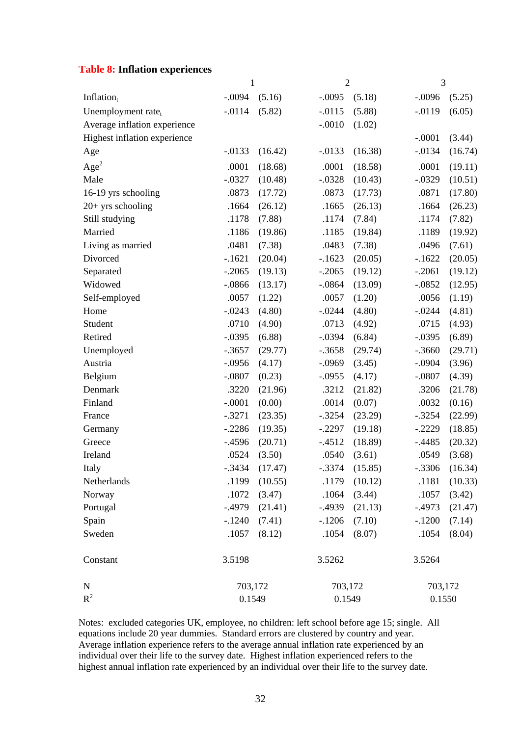### **Table 8: Inflation experiences**

|                                | $\mathbf{1}$ |         | $\overline{2}$ |         | 3         |         |  |
|--------------------------------|--------------|---------|----------------|---------|-----------|---------|--|
| Inflation <sub>t</sub>         | $-.0094$     | (5.16)  | $-.0095$       | (5.18)  | $-.0096$  | (5.25)  |  |
| Unemployment rate <sub>t</sub> | $-.0114$     | (5.82)  | $-.0115$       | (5.88)  | $-.0119$  | (6.05)  |  |
| Average inflation experience   |              |         | $-.0010$       | (1.02)  |           |         |  |
| Highest inflation experience   |              |         |                |         | $-.0001$  | (3.44)  |  |
| Age                            | $-.0133$     | (16.42) | $-.0133$       | (16.38) | $-0.0134$ | (16.74) |  |
| Age <sup>2</sup>               | .0001        | (18.68) | .0001          | (18.58) | .0001     | (19.11) |  |
| Male                           | $-.0327$     | (10.48) | $-.0328$       | (10.43) | $-.0329$  | (10.51) |  |
| 16-19 yrs schooling            | .0873        | (17.72) | .0873          | (17.73) | .0871     | (17.80) |  |
| $20+$ yrs schooling            | .1664        | (26.12) | .1665          | (26.13) | .1664     | (26.23) |  |
| Still studying                 | .1178        | (7.88)  | .1174          | (7.84)  | .1174     | (7.82)  |  |
| Married                        | .1186        | (19.86) | .1185          | (19.84) | .1189     | (19.92) |  |
| Living as married              | .0481        | (7.38)  | .0483          | (7.38)  | .0496     | (7.61)  |  |
| Divorced                       | $-.1621$     | (20.04) | $-.1623$       | (20.05) | $-1622$   | (20.05) |  |
| Separated                      | $-.2065$     | (19.13) | $-.2065$       | (19.12) | $-.2061$  | (19.12) |  |
| Widowed                        | $-.0866$     | (13.17) | $-.0864$       | (13.09) | $-.0852$  | (12.95) |  |
| Self-employed                  | .0057        | (1.22)  | .0057          | (1.20)  | .0056     | (1.19)  |  |
| Home                           | $-.0243$     | (4.80)  | $-.0244$       | (4.80)  | $-.0244$  | (4.81)  |  |
| Student                        | .0710        | (4.90)  | .0713          | (4.92)  | .0715     | (4.93)  |  |
| Retired                        | $-.0395$     | (6.88)  | $-.0394$       | (6.84)  | $-.0395$  | (6.89)  |  |
| Unemployed                     | $-.3657$     | (29.77) | $-.3658$       | (29.74) | $-.3660$  | (29.71) |  |
| Austria                        | $-.0956$     | (4.17)  | $-.0969$       | (3.45)  | $-.0904$  | (3.96)  |  |
| Belgium                        | $-.0807$     | (0.23)  | $-.0955$       | (4.17)  | $-.0807$  | (4.39)  |  |
| Denmark                        | .3220        | (21.96) | .3212          | (21.82) | .3206     | (21.78) |  |
| Finland                        | $-.0001$     | (0.00)  | .0014          | (0.07)  | .0032     | (0.16)  |  |
| France                         | $-.3271$     | (23.35) | $-.3254$       | (23.29) | $-.3254$  | (22.99) |  |
| Germany                        | $-.2286$     | (19.35) | $-.2297$       | (19.18) | $-.2229$  | (18.85) |  |
| Greece                         | $-0.4596$    | (20.71) | $-4512$        | (18.89) | $-0.4485$ | (20.32) |  |
| Ireland                        | .0524        | (3.50)  | .0540          | (3.61)  | .0549     | (3.68)  |  |
| Italy                          | .3434        | (17.47) | .3374          | (15.85) | .3306     | (16.34) |  |
| Netherlands                    | .1199        | (10.55) | .1179          | (10.12) | .1181     | (10.33) |  |
| Norway                         | .1072        | (3.47)  | .1064          | (3.44)  | .1057     | (3.42)  |  |
| Portugal                       | $-.4979$     | (21.41) | $-.4939$       | (21.13) | $-0.4973$ | (21.47) |  |
| Spain                          | $-1240$      | (7.41)  | $-.1206$       | (7.10)  | $-.1200$  | (7.14)  |  |
| Sweden                         | .1057        | (8.12)  | .1054          | (8.07)  | .1054     | (8.04)  |  |
| Constant                       | 3.5198       |         | 3.5262         |         | 3.5264    |         |  |
| ${\bf N}$                      | 703,172      |         | 703,172        |         | 703,172   |         |  |
| $R^2$                          | 0.1549       |         |                | 0.1549  | 0.1550    |         |  |

Notes: excluded categories UK, employee, no children: left school before age 15; single. All equations include 20 year dummies. Standard errors are clustered by country and year. Average inflation experience refers to the average annual inflation rate experienced by an individual over their life to the survey date. Highest inflation experienced refers to the highest annual inflation rate experienced by an individual over their life to the survey date.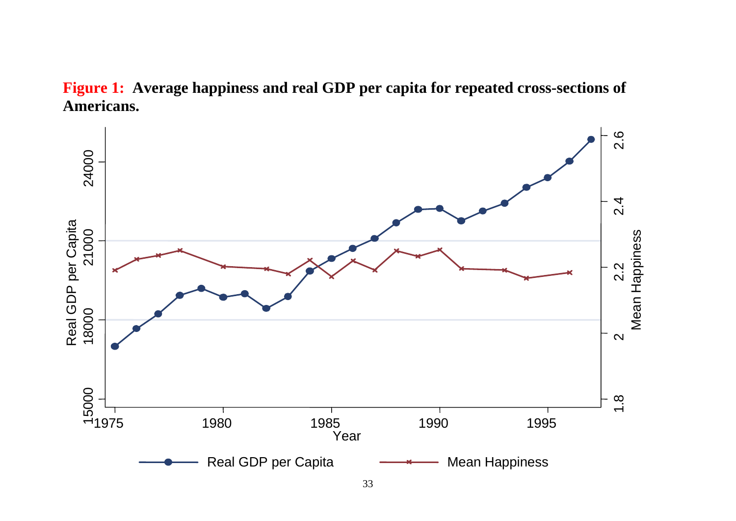

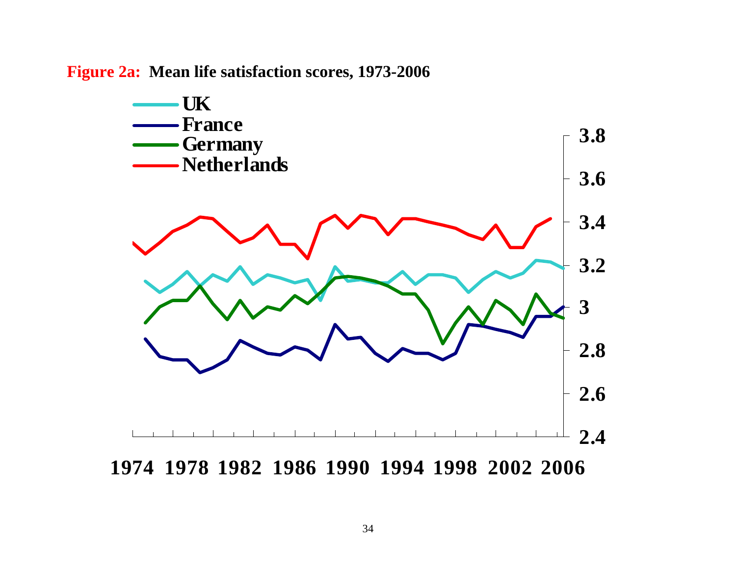**Figure 2a: Mean life satisfaction scores, 1973-2006** 

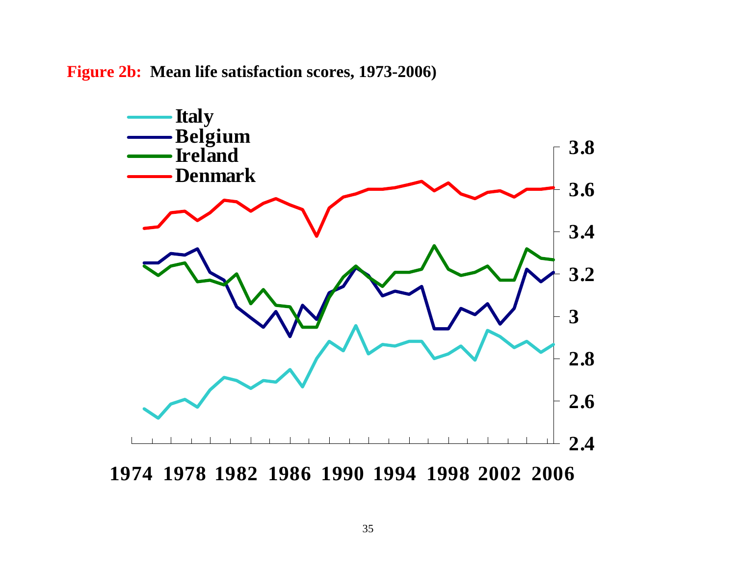**Figure 2b: Mean life satisfaction scores, 1973-2006)** 

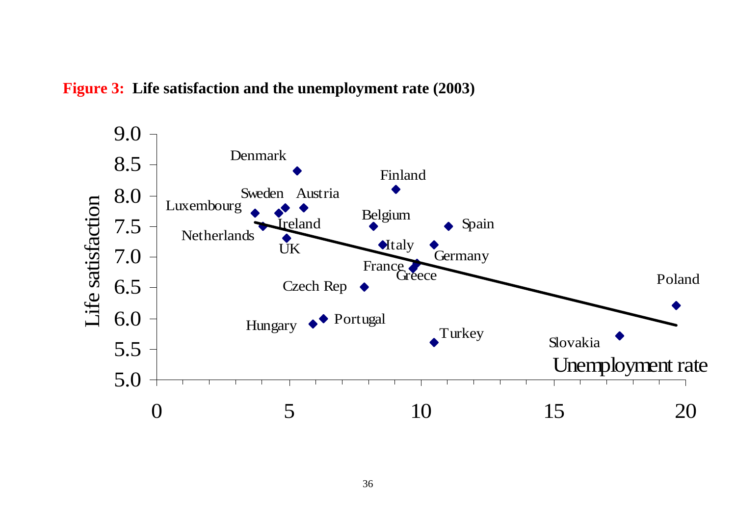# **Figure 3: Life satisfaction and the unemployment rate (2003)**

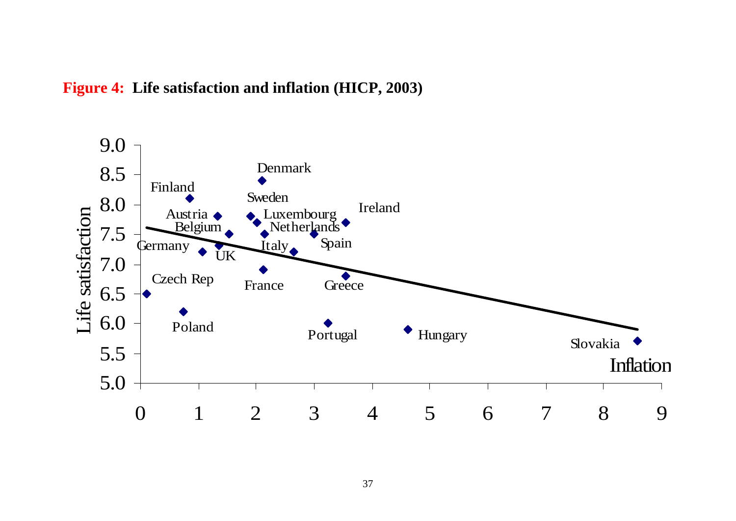# **Figure 4: Life satisfaction and inflation (HICP, 2003)**

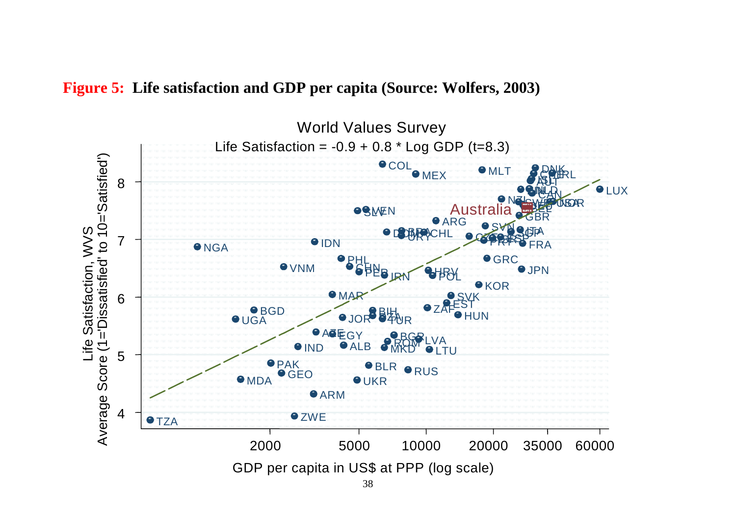

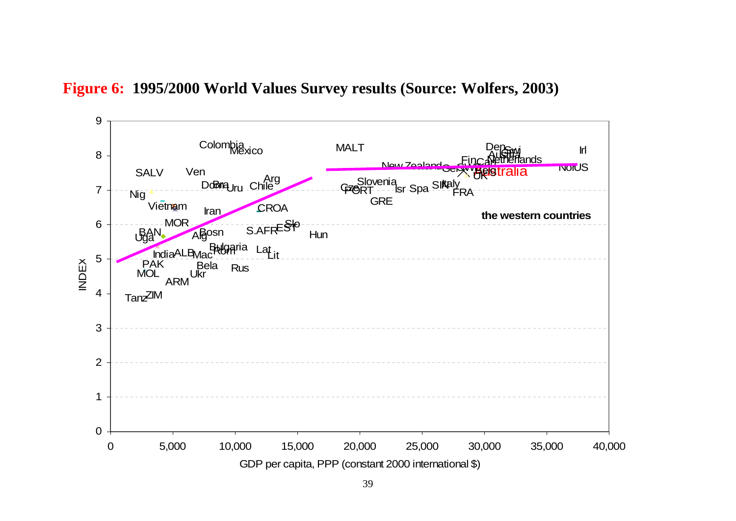# **Figure 6: 1995/2000 World Values Survey results (Source: Wolfers, 2003)**